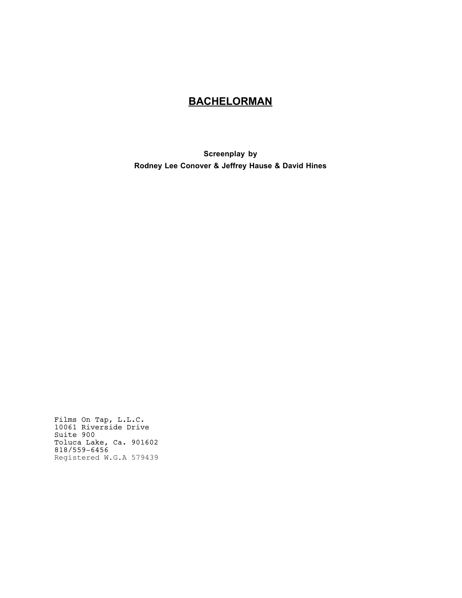# **BACHELORMAN**

**Screenplay by Rodney Lee Conover & Jeffrey Hause & David Hines**

Films On Tap, L.L.C. 10061 Riverside Drive<br>Suite 900 Toluca Lake, Ca. 901602<br>818/559-6456 Registered W.G.A 579439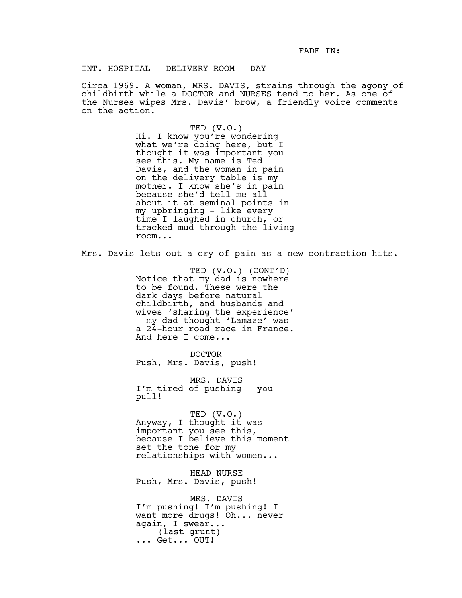FADE IN:

INT. HOSPITAL - DELIVERY ROOM - DAY

Circa 1969. A woman, MRS. DAVIS, strains through the agony of childbirth while a DOCTOR and NURSES tend to her. As one of the Nurses wipes Mrs. Davis' brow, a friendly voice comments on the action.

> TED (V.O.) Hi. I know you're wondering what we're doing here, but I thought it was important you see this. My name is Ted Davis, and the woman in pain on the delivery table is my mother. I know she's in pain because she'd tell me all about it at seminal points in my upbringing - like every time I laughed in church, or tracked mud through the living room...

Mrs. Davis lets out a cry of pain as a new contraction hits.

TED (V.O.) (CONT'D) Notice that my dad is nowhere to be found. These were the dark days before natural childbirth, and husbands and wives 'sharing the experience' - my dad thought 'Lamaze' was a 24-hour road race in France. And here I come...

DOCTOR Push, Mrs. Davis, push!

MRS. DAVIS I'm tired of pushing - you pull!

TED (V.O.) Anyway, I thought it was important you see this, because I believe this moment set the tone for my relationships with women...

HEAD NURSE Push, Mrs. Davis, push!

MRS. DAVIS I'm pushing! I'm pushing! I want more drugs! Oh... never again, I swear... (last grunt) ... Get... OUT!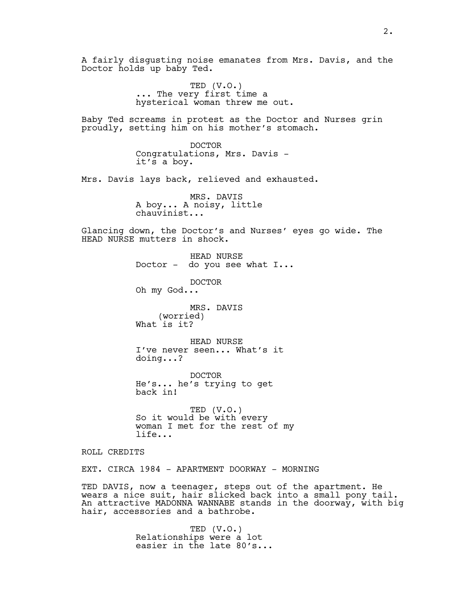A fairly disgusting noise emanates from Mrs. Davis, and the Doctor holds up baby Ted. TED (V.O.) ... The very first time a hysterical woman threw me out. Baby Ted screams in protest as the Doctor and Nurses grin proudly, setting him on his mother's stomach. DOCTOR Congratulations, Mrs. Davis it's a boy. Mrs. Davis lays back, relieved and exhausted. MRS. DAVIS A boy... A noisy, little chauvinist... Glancing down, the Doctor's and Nurses' eyes go wide. The HEAD NURSE mutters in shock. HEAD NURSE Doctor - do you see what I... DOCTOR Oh my God... MRS. DAVIS (worried) What is it? HEAD NURSE I've never seen... What's it doing...? DOCTOR He's... he's trying to get back in! TED (V.O.) So it would be with every woman I met for the rest of my life... ROLL CREDITS EXT. CIRCA 1984 - APARTMENT DOORWAY - MORNING TED DAVIS, now a teenager, steps out of the apartment. He wears a nice suit, hair slicked back into a small pony tail. An attractive MADONNA WANNABE stands in the doorway, with big

> TED (V.O.) Relationships were a lot easier in the late 80's...

hair, accessories and a bathrobe.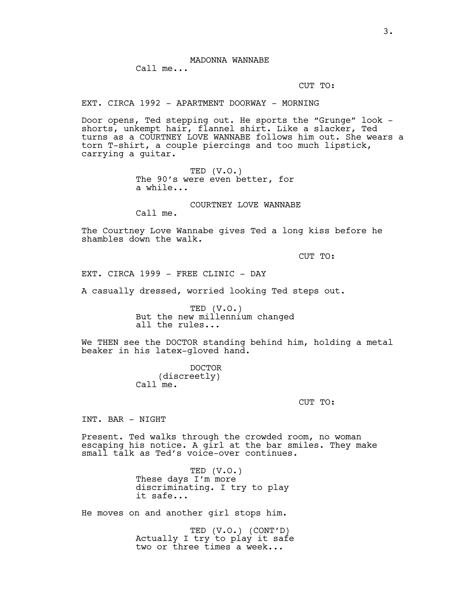CUT TO:

EXT. CIRCA 1992 - APARTMENT DOORWAY - MORNING

Door opens, Ted stepping out. He sports the "Grunge" look shorts, unkempt hair, flannel shirt. Like a slacker, Ted turns as a COURTNEY LOVE WANNABE follows him out. She wears a torn T-shirt, a couple piercings and too much lipstick, carrying a guitar.

> TED (V.O.) The 90's were even better, for a while...

> > COURTNEY LOVE WANNABE

Call me.

The Courtney Love Wannabe gives Ted a long kiss before he shambles down the walk.

CUT TO:

EXT. CIRCA 1999 - FREE CLINIC - DAY

A casually dressed, worried looking Ted steps out.

TED (V.O.) But the new millennium changed all the rules...

We THEN see the DOCTOR standing behind him, holding a metal beaker in his latex-gloved hand.

> DOCTOR (discreetly) Call me.

> > CUT TO:

INT. BAR - NIGHT

Present. Ted walks through the crowded room, no woman escaping his notice. A girl at the bar smiles. They make small talk as Ted's voice-over continues.

> TED (V.O.) These days I'm more discriminating. I try to play it safe...

He moves on and another girl stops him.

TED (V.O.) (CONT'D) Actually I try to play it safe two or three times a week...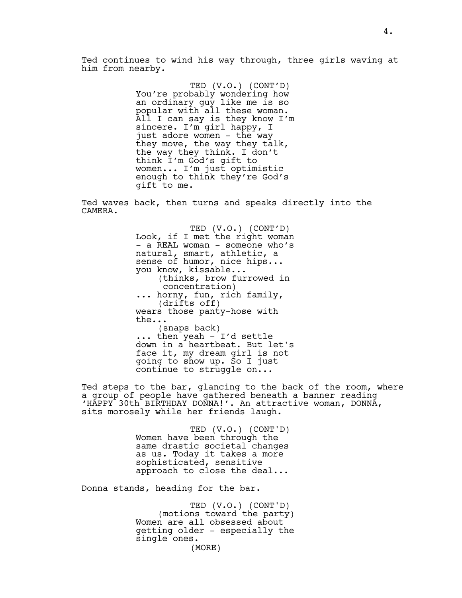Ted continues to wind his way through, three girls waving at him from nearby.

> TED (V.O.) (CONT'D) You're probably wondering how an ordinary guy like me is so popular with all these woman. All I can say is they know I'm sincere. I'm girl happy, I just adore women - the way they move, the way they talk, the way they think. I don't think I'm God's gift to women... I'm just optimistic enough to think they're God's gift to me.

Ted waves back, then turns and speaks directly into the CAMERA.

> TED (V.O.) (CONT'D) Look, if I met the right woman - a REAL woman - someone who's natural, smart, athletic, a sense of humor, nice hips... you know, kissable... (thinks, brow furrowed in concentration) ... horny, fun, rich family, (drifts off) wears those panty-hose with the... (snaps back) ... then yeah - I'd settle down in a heartbeat. But let's face it, my dream girl is not going to show up. So I just continue to struggle on...

Ted steps to the bar, glancing to the back of the room, where a group of people have gathered beneath a banner reading 'HAPPY 30th BIRTHDAY DONNA!'. An attractive woman, DONNA, sits morosely while her friends laugh.

> TED (V.O.) (CONT'D) Women have been through the same drastic societal changes as us. Today it takes a more sophisticated, sensitive approach to close the deal...

Donna stands, heading for the bar.

TED (V.O.) (CONT'D) (motions toward the party) Women are all obsessed about getting older - especially the single ones. (MORE)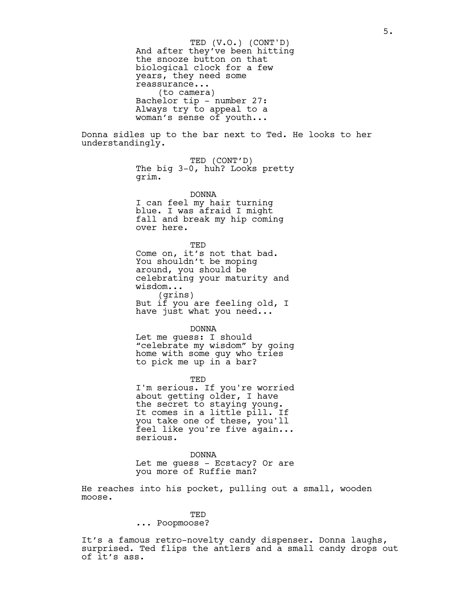And after they've been hitting the snooze button on that biological clock for a few years, they need some reassurance... (to camera) Bachelor tip - number 27: Always try to appeal to a woman's sense of youth... TED (V.O.) (CONT'D)

Donna sidles up to the bar next to Ted. He looks to her understandingly.

> TED (CONT'D) The big 3-0, huh? Looks pretty grim.

DONNA I can feel my hair turning blue. I was afraid I might fall and break my hip coming over here.

TED Come on, it's not that bad. You shouldn't be moping around, you should be celebrating your maturity and wisdom... (grins) But if you are feeling old, I have just what you need...

DONNA Let me guess: I should "celebrate my wisdom" by going

home with some guy who tries to pick me up in a bar?

TED I'm serious. If you're worried about getting older, I have the secret to staying young. It comes in a little pill. If you take one of these, you'll feel like you're five again... serious.

DONNA

Let me guess - Ecstacy? Or are you more of Ruffie man?

He reaches into his pocket, pulling out a small, wooden moose.

# **TED**

... Poopmoose?

It's a famous retro-novelty candy dispenser. Donna laughs, surprised. Ted flips the antlers and a small candy drops out of it's ass.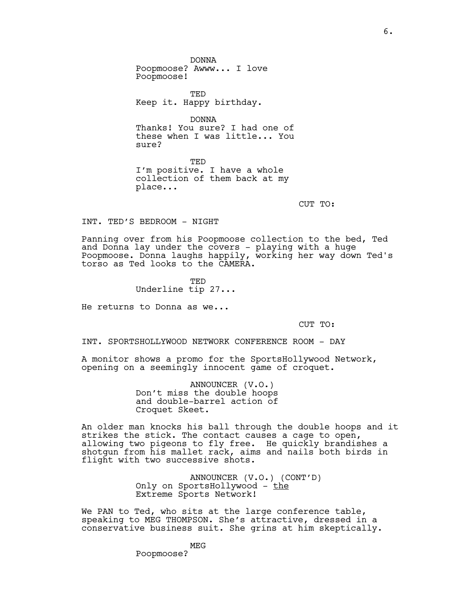DONNA Poopmoose? Awww... I love Poopmoose!

TED Keep it. Happy birthday.

DONNA Thanks! You sure? I had one of these when I was little... You sure?

TED I'm positive. I have a whole collection of them back at my place...

CUT TO:

INT. TED'S BEDROOM - NIGHT

Panning over from his Poopmoose collection to the bed, Ted and Donna lay under the covers - playing with a huge Poopmoose. Donna laughs happily, working her way down Ted's torso as Ted looks to the CAMERA.

> TED Underline tip 27...

He returns to Donna as we...

CUT TO:

INT. SPORTSHOLLYWOOD NETWORK CONFERENCE ROOM - DAY

A monitor shows a promo for the SportsHollywood Network, opening on a seemingly innocent game of croquet.

> ANNOUNCER (V.O.) Don't miss the double hoops and double-barrel action of Croquet Skeet.

An older man knocks his ball through the double hoops and it strikes the stick. The contact causes a cage to open, allowing two pigeons to fly free. He quickly brandishes a shotgun from his mallet rack, aims and nails both birds in flight with two successive shots.

> ANNOUNCER (V.O.) (CONT'D) Only on SportsHollywood - the Extreme Sports Network!

We PAN to Ted, who sits at the large conference table, speaking to MEG THOMPSON. She's attractive, dressed in a conservative business suit. She grins at him skeptically.

> MEG Poopmoose?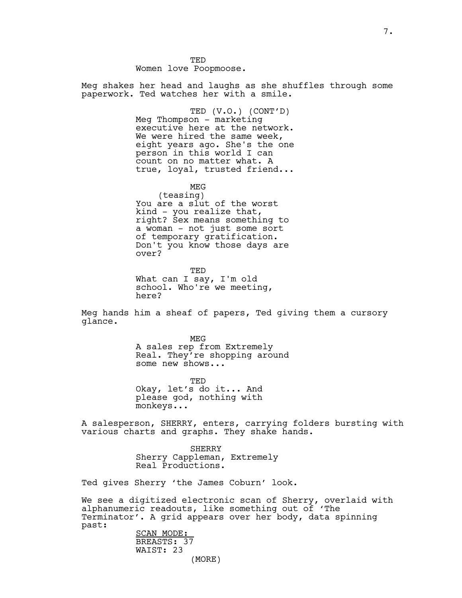TED Women love Poopmoose.

Meg shakes her head and laughs as she shuffles through some paperwork. Ted watches her with a smile.

> TED (V.O.) (CONT'D) Meg Thompson - marketing executive here at the network. We were hired the same week, eight years ago. She's the one person in this world I can count on no matter what. A true, loyal, trusted friend...

MEG (teasing) You are a slut of the worst kind - you realize that, right? Sex means something to a woman - not just some sort of temporary gratification. Don't you know those days are over?

TED What can I say, I'm old school. Who're we meeting, here?

Meg hands him a sheaf of papers, Ted giving them a cursory glance.

> MEG A sales rep from Extremely Real. They're shopping around some new shows...

TED Okay, let's do it... And please god, nothing with monkeys...

A salesperson, SHERRY, enters, carrying folders bursting with various charts and graphs. They shake hands.

> SHERRY Sherry Cappleman, Extremely Real Productions.

Ted gives Sherry 'the James Coburn' look.

We see a digitized electronic scan of Sherry, overlaid with alphanumeric readouts, like something out of 'The Terminator'. A grid appears over her body, data spinning past:

SCAN MODE: BREASTS: 37 WAIST: 23 (MORE)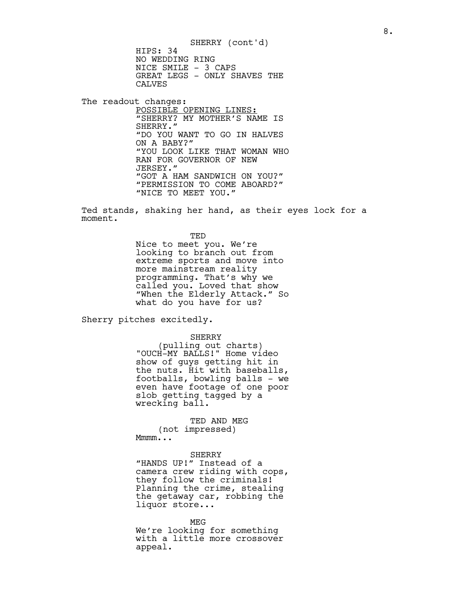HIPS: 34 NO WEDDING RING NICE SMILE - 3 CAPS GREAT LEGS - ONLY SHAVES THE CALVES SHERRY (cont'd)

The readout changes: POSSIBLE OPENING LINES: "SHERRY? MY MOTHER'S NAME IS SHERRY." "DO YOU WANT TO GO IN HALVES ON A BABY?" "YOU LOOK LIKE THAT WOMAN WHO RAN FOR GOVERNOR OF NEW JERSEY." "GOT A HAM SANDWICH ON YOU?" "PERMISSION TO COME ABOARD?" "NICE TO MEET YOU."

Ted stands, shaking her hand, as their eyes lock for a moment.

> TED Nice to meet you. We're looking to branch out from extreme sports and move into more mainstream reality programming. That's wh $\bar{\mathrm{y}}$  we called you. Loved that show "When the Elderly Attack." So what do you have for us?

Sherry pitches excitedly.

SHERRY

(pulling out charts) "OUCH-MY BALLS!" Home video show of guys getting hit in the nuts. Hit with baseballs, footballs, bowling balls - we even have footage of one poor slob getting tagged by a wrecking ball.

TED AND MEG (not impressed) Mmmm...

#### SHERRY

"HANDS UP!" Instead of a camera crew riding with cops, they follow the criminals! Planning the crime, stealing the getaway car, robbing the liquor store...

MEG We're looking for something with a little more crossover appeal.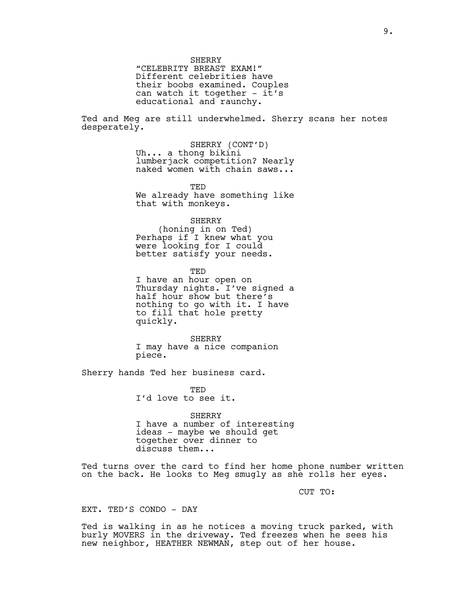SHERRY "CELEBRITY BREAST EXAM!" Different celebrities have their boobs examined. Couples can watch it together - it's educational and raunchy.

Ted and Meg are still underwhelmed. Sherry scans her notes desperately.

> SHERRY (CONT'D) Uh... a thong bikini lumberjack competition? Nearly naked women with chain saws...

> TED We already have something like that with monkeys.

SHERRY (honing in on Ted) Perhaps if I knew what you were looking for I could better satisfy your needs.

TED I have an hour open on Thursday nights. I've signed a half hour show but there's nothing to go with it. I have to fill that hole pretty quickly.

SHERRY I may have a nice companion piece.

Sherry hands Ted her business card.

TED I'd love to see it.

SHERRY I have a number of interesting ideas - maybe we should get together over dinner to discuss them...

Ted turns over the card to find her home phone number written on the back. He looks to Meg smugly as she rolls her eyes.

CUT TO:

EXT. TED'S CONDO - DAY

Ted is walking in as he notices a moving truck parked, with burly MOVERS in the driveway. Ted freezes when he sees his new neighbor, HEATHER NEWMAN, step out of her house.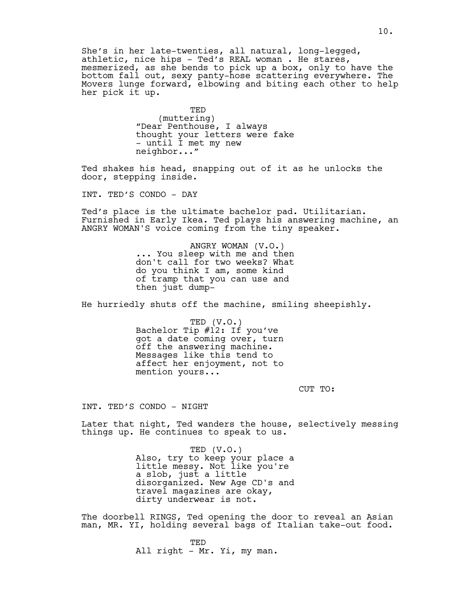She's in her late-twenties, all natural, long-legged, athletic, nice hips - Ted's REAL woman . He stares, mesmerized, as she bends to pick up a box, only to have the bottom fall out, sexy panty-hose scattering everywhere. The Movers lunge forward, elbowing and biting each other to help her pick it up.

> TED (muttering) "Dear Penthouse, I always thought your letters were fake - until I met my new neighbor..."

Ted shakes his head, snapping out of it as he unlocks the door, stepping inside.

INT. TED'S CONDO - DAY

Ted's place is the ultimate bachelor pad. Utilitarian. Furnished in Early Ikea. Ted plays his answering machine, an ANGRY WOMAN'S voice coming from the tiny speaker.

> ANGRY WOMAN (V.O.) ... You sleep with me and then don't call for two weeks? What do you think I am, some kind of tramp that you can use and then just dump-

He hurriedly shuts off the machine, smiling sheepishly.

TED (V.O.) Bachelor Tip #12: If you've got a date coming over, turn off the answering machine. Messages like this tend to affect her enjoyment, not to mention yours...

CUT TO:

INT. TED'S CONDO - NIGHT

Later that night, Ted wanders the house, selectively messing things up. He continues to speak to us.

> TED (V.O.) Also, try to keep your place a little messy. Not like you're a slob, just a little disorganized. New Age CD's and travel magazines are okay, dirty underwear is not.

The doorbell RINGS, Ted opening the door to reveal an Asian man, MR. YI, holding several bags of Italian take-out food.

> TED All right - Mr. Yi, my man.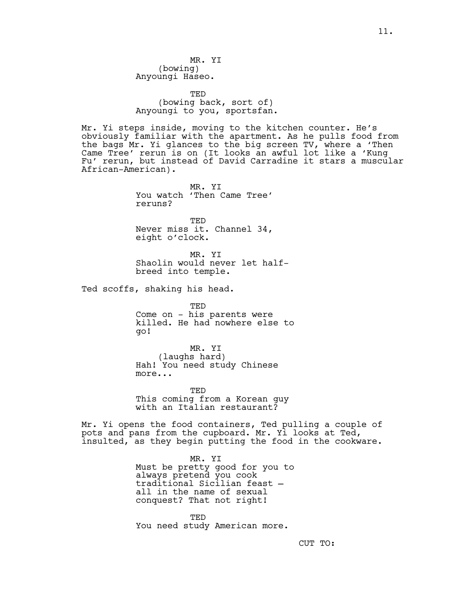MR. YI (bowing) Anyoungi Haseo.

TED (bowing back, sort of) Anyoungi to you, sportsfan.

Mr. Yi steps inside, moving to the kitchen counter. He's obviously familiar with the apartment. As he pulls food from the bags Mr. Yi glances to the big screen TV, where a 'Then Came Tree' rerun is on (It looks an awful lot like a 'Kung Fu' rerun, but instead of David Carradine it stars a muscular African-American).

> MR. YI You watch 'Then Came Tree' reruns?

> TED Never miss it. Channel 34, eight o'clock.

MR. YI Shaolin would never let halfbreed into temple.

Ted scoffs, shaking his head.

TED Come on - his parents were killed. He had nowhere else to go!

MR. YI (laughs hard) Hah! You need study Chinese more...

TED This coming from a Korean guy with an Italian restaurant?

Mr. Yi opens the food containers, Ted pulling a couple of pots and pans from the cupboard. Mr. Yi looks at Ted, insulted, as they begin putting the food in the cookware.

> MR. YI Must be pretty good for you to always pretend you cook traditional Sicilian feast all in the name of sexual conquest? That not right!

TED You need study American more.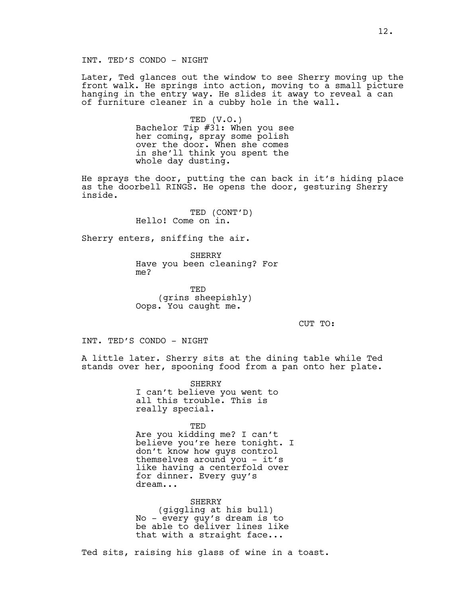Later, Ted glances out the window to see Sherry moving up the front walk. He springs into action, moving to a small picture hanging in the entry way. He slides it away to reveal a can of furniture cleaner in a cubby hole in the wall.

> TED (V.O.) Bachelor Tip #31: When you see her coming, spray some polish over the door. When she comes in she'll think you spent the whole day dusting.

He sprays the door, putting the can back in it's hiding place as the doorbell RINGS. He opens the door, gesturing Sherry inside.

> TED (CONT'D) Hello! Come on in.

Sherry enters, sniffing the air.

**SHERRY** Have you been cleaning? For me?

TED (grins sheepishly) Oops. You caught me.

CUT TO:

INT. TED'S CONDO - NIGHT

A little later. Sherry sits at the dining table while Ted stands over her, spooning food from a pan onto her plate.

> SHERRY I can't believe you went to all this trouble. This is really special.

TED Are you kidding me? I can't believe you're here tonight. I don't know how guys control themselves around you - it's like having a centerfold over for dinner. Every guy's dream...

SHERRY (giggling at his bull) No - every guy's dream is to be able to deliver lines like that with a straight face...

Ted sits, raising his glass of wine in a toast.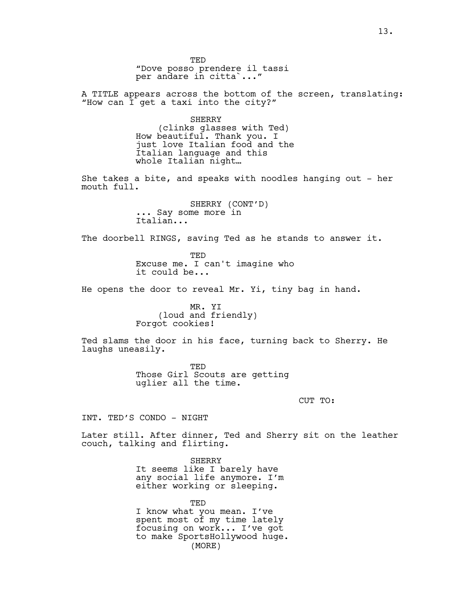TED "Dove posso prendere il tassi per andare in citta`..."

A TITLE appears across the bottom of the screen, translating: "How can I get a taxi into the city?"

> SHERRY (clinks glasses with Ted) How beautiful. Thank you. I just love Italian food and the Italian language and this whole Italian night…

She takes a bite, and speaks with noodles hanging out - her mouth full.

> SHERRY (CONT'D) ... Say some more in Italian...

The doorbell RINGS, saving Ted as he stands to answer it.

TED Excuse me. I can't imagine who it could be...

He opens the door to reveal Mr. Yi, tiny bag in hand.

MR. YI (loud and friendly) Forgot cookies!

Ted slams the door in his face, turning back to Sherry. He laughs uneasily.

> TED Those Girl Scouts are getting uglier all the time.

> > CUT TO:

INT. TED'S CONDO - NIGHT

Later still. After dinner, Ted and Sherry sit on the leather couch, talking and flirting.

> SHERRY It seems like I barely have any social life anymore. I'm either working or sleeping.

TED I know what you mean. I've spent most of my time lately focusing on work... I've got to make SportsHollywood huge. (MORE)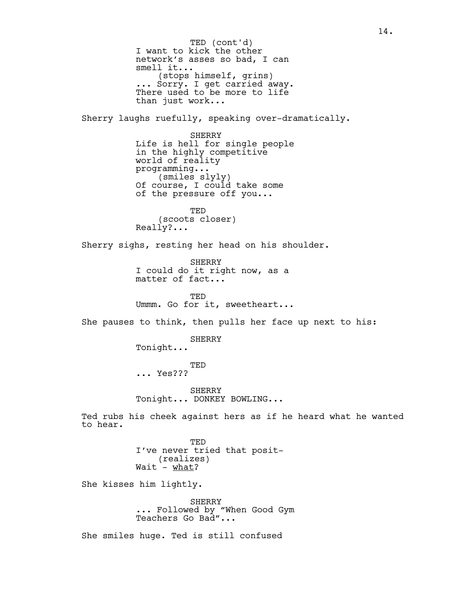I want to kick the other network's asses so bad, I can smell it... (stops himself, grins) ... Sorry. I get carried away. There used to be more to life than just work... Sherry laughs ruefully, speaking over-dramatically. SHERRY Life is hell for single people in the highly competitive world of reality programming... (smiles slyly) Of course, I could take some of the pressure off you... TED (scoots closer) Really?... Sherry sighs, resting her head on his shoulder. SHERRY I could do it right now, as a matter of fact... TED Ummm. Go for it, sweetheart... She pauses to think, then pulls her face up next to his: SHERRY Tonight... TED ... Yes??? SHERRY Tonight... DONKEY BOWLING... Ted rubs his cheek against hers as if he heard what he wanted to hear. TED I've never tried that posit- (realizes) Wait - <u>what</u>? She kisses him lightly. SHERRY ... Followed by "When Good Gym Teachers Go Bad"... She smiles huge. Ted is still confused TED (cont'd)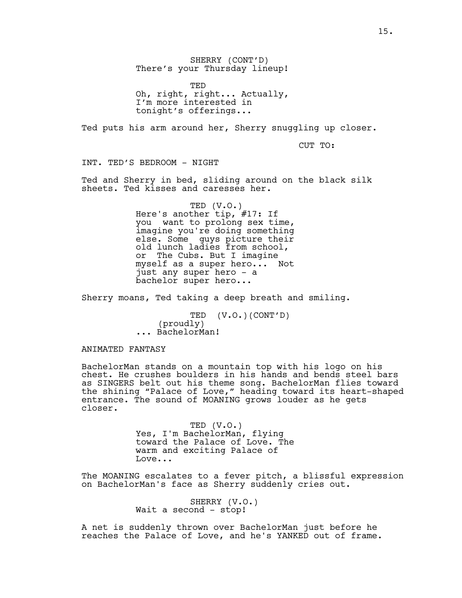SHERRY (CONT'D) There's your Thursday lineup!

TED Oh, right, right... Actually, I'm more interested in tonight's offerings...

Ted puts his arm around her, Sherry snuggling up closer.

CUT TO:

INT. TED'S BEDROOM - NIGHT

Ted and Sherry in bed, sliding around on the black silk sheets. Ted kisses and caresses her.

> TED (V.O.) Here's another tip, #17: If you want to prolong sex time, imagine you're doing something else. Some guys picture their old lunch ladies from school, or The Cubs. But I imagine myself as a super hero... Not just any super hero - a bachelor super hero...

Sherry moans, Ted taking a deep breath and smiling.

TED (V.O.)(CONT'D) (proudly) ... BachelorMan!

ANIMATED FANTASY

BachelorMan stands on a mountain top with his logo on his chest. He crushes boulders in his hands and bends steel bars as SINGERS belt out his theme song. BachelorMan flies toward the shining "Palace of Love," heading toward its heart-shaped entrance. The sound of MOANING grows louder as he gets closer.

> TED (V.O.) Yes, I'm BachelorMan, flying toward the Palace of Love. The warm and exciting Palace of Love...

The MOANING escalates to a fever pitch, a blissful expression on BachelorMan's face as Sherry suddenly cries out.

> SHERRY (V.O.) Wait a second - stop!

A net is suddenly thrown over BachelorMan just before he reaches the Palace of Love, and he's YANKED out of frame.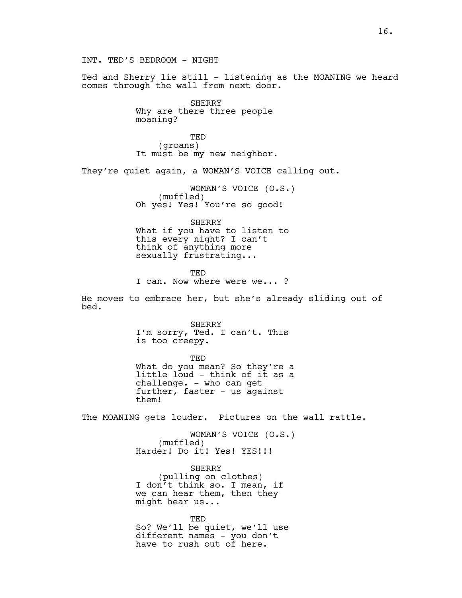INT. TED'S BEDROOM - NIGHT

Ted and Sherry lie still - listening as the MOANING we heard comes through the wall from next door.

> SHERRY Why are there three people moaning?

TED (groans) It must be my new neighbor.

They're quiet again, a WOMAN'S VOICE calling out.

WOMAN'S VOICE (O.S.) (muffled) Oh yes! Yes! You're so good!

SHERRY What if you have to listen to this every night? I can't think of anything more sexually frustrating...

TED I can. Now where were we... ?

He moves to embrace her, but she's already sliding out of bed.

> SHERRY I'm sorry, Ted. I can't. This is too creepy.

TED What do you mean? So they're a little loud - think of it as a challenge. - who can get further, faster - us against them!

The MOANING gets louder. Pictures on the wall rattle.

WOMAN'S VOICE (O.S.) (muffled) Harder! Do it! Yes! YES!!!

SHERRY (pulling on clothes) I don't think so. I mean, if we can hear them, then they might hear us...

TED So? We'll be quiet, we'll use different names - you don't have to rush out of here.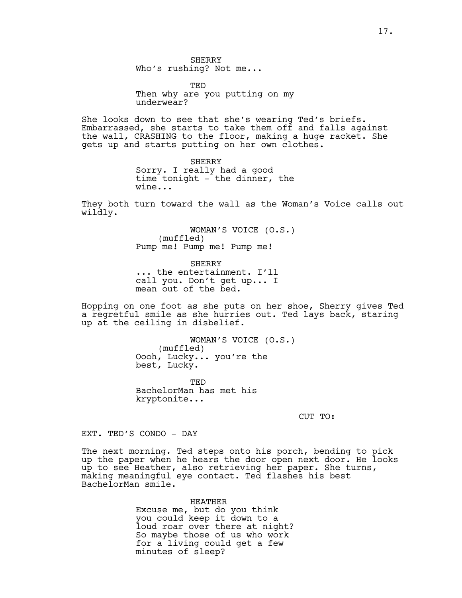**SHERRY** Who's rushing? Not me...

**TED** Then why are you putting on my underwear?

She looks down to see that she's wearing Ted's briefs. Embarrassed, she starts to take them off and falls against the wall, CRASHING to the floor, making a huge racket. She gets up and starts putting on her own clothes.

> SHERRY Sorry. I really had a good time tonight - the dinner, the wine...

They both turn toward the wall as the Woman's Voice calls out wildly.

> WOMAN'S VOICE (O.S.) (muffled) Pump me! Pump me! Pump me!

SHERRY ... the entertainment. I'll call you. Don't get up... I mean out of the bed.

Hopping on one foot as she puts on her shoe, Sherry gives Ted a regretful smile as she hurries out. Ted lays back, staring up at the ceiling in disbelief.

> WOMAN'S VOICE (O.S.) (muffled) Oooh, Lucky... you're the best, Lucky.

TED BachelorMan has met his kryptonite...

CUT TO:

EXT. TED'S CONDO - DAY

The next morning. Ted steps onto his porch, bending to pick up the paper when he hears the door open next door. He looks up to see Heather, also retrieving her paper. She turns, making meaningful eye contact. Ted flashes his best BachelorMan smile.

> HEATHER Excuse me, but do you think you could keep it down to a loud roar over there at night? So maybe those of us who work for a living could get a few minutes of sleep?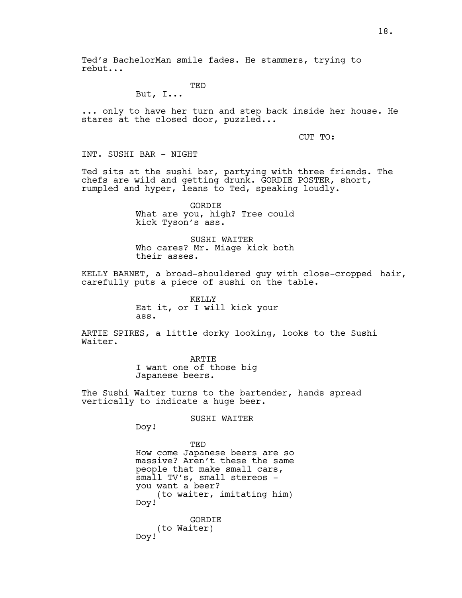Ted's BachelorMan smile fades. He stammers, trying to rebut...

**TED** 

But, I...

... only to have her turn and step back inside her house. He stares at the closed door, puzzled...

CUT TO:

INT. SUSHI BAR - NIGHT

Ted sits at the sushi bar, partying with three friends. The chefs are wild and getting drunk. GORDIE POSTER, short, rumpled and hyper, leans to Ted, speaking loudly.

> GORDIE What are you, high? Tree could kick Tyson's ass.

> SUSHI WAITER Who cares? Mr. Miage kick both their asses.

KELLY BARNET, a broad-shouldered guy with close-cropped hair, carefully puts a piece of sushi on the table.

> KELLY Eat it, or I will kick your ass.

ARTIE SPIRES, a little dorky looking, looks to the Sushi Waiter.

> ARTIE I want one of those big Japanese beers.

The Sushi Waiter turns to the bartender, hands spread vertically to indicate a huge beer.

SUSHI WAITER

Doy!

TED How come Japanese beers are so massive? Aren't these the same people that make small cars, small TV's, small stereos you want a beer? (to waiter, imitating him) Doy!

GORDIE (to Waiter) Doy!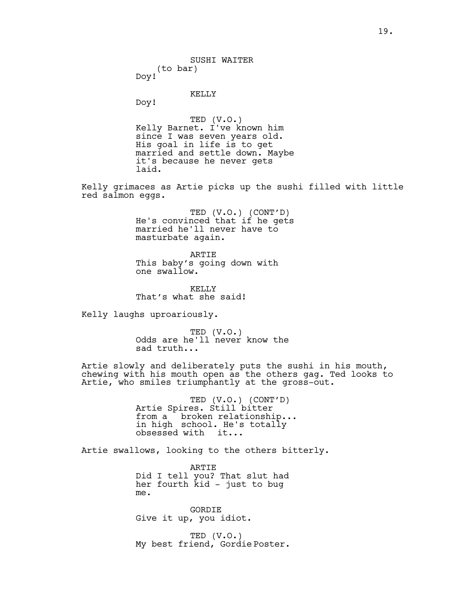SUSHI WAITER (to bar)

Doy!

KELLY

Doy!

TED (V.O.) Kelly Barnet. I've known him since I was seven years old. His goal in life is to get married and settle down. Maybe it's because he never gets laid.

Kelly grimaces as Artie picks up the sushi filled with little red salmon eggs.

> TED (V.O.) (CONT'D) He's convinced that if he gets married he'll never have to masturbate again.

ARTIE This baby's going down with one swallow.

KELLY That's what she said!

Kelly laughs uproariously.

TED (V.O.) Odds are he'll never know the sad truth...

Artie slowly and deliberately puts the sushi in his mouth, chewing with his mouth open as the others gag. Ted looks to Artie, who smiles triumphantly at the gross-out.

> TED (V.O.) (CONT'D) Artie Spires. Still bitter from a broken relationship... in high school. He's totally obsessed with it...

Artie swallows, looking to the others bitterly.

ARTIE Did I tell you? That slut had her fourth kid - just to bug me.

GORDIE Give it up, you idiot.

TED (V.O.) My best friend, Gordie Poster.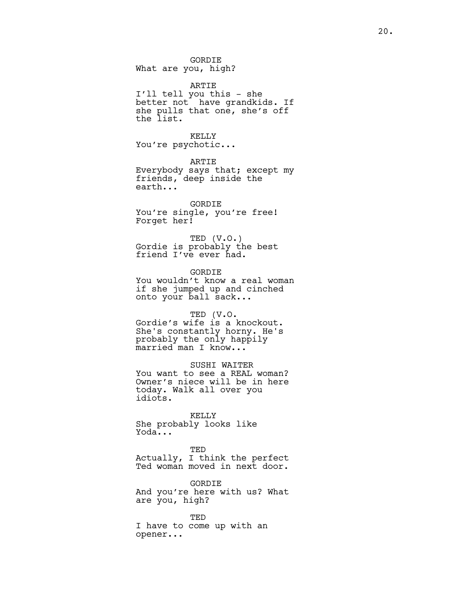GORDIE What are you, high?

ARTIE I'll tell you this - she better not have grandkids. If she pulls that one, she's off the list.

KELLY You're psychotic...

ARTIE Everybody says that; except my friends, deep inside the earth...

GORDIE You're single, you're free! Forget her!

TED (V.O.) Gordie is probably the best friend I've ever had.

GORDIE You wouldn't know a real woman if she jumped up and cinched onto your ball sack...

TED (V.O. Gordie's wife is a knockout. She's constantly horny. He's probably the only happily married man I know...

SUSHI WAITER You want to see a REAL woman? Owner's niece will be in here today. Walk all over you idiots.

KELLY She probably looks like Yoda...

TED Actually, I think the perfect Ted woman moved in next door.

GORDIE And you're here with us? What are you, high?

TED I have to come up with an opener...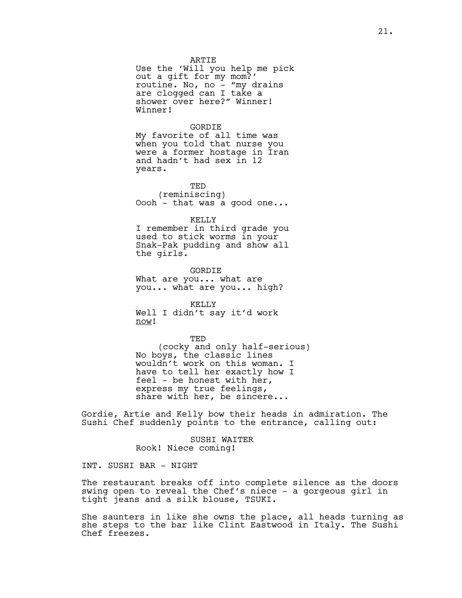ARTIE

Use the 'Will you help me pick out a gift for my mom?' routine. No, no  $-$  "my drains are clogged can I take a shower over here?" Winner! Winner!

GORDIE

My favorite of all time was when you told that nurse you were a former hostage in Iran and hadn't had sex in 12 years.

TED (reminiscing) Oooh - that was a good one...

KELLY I remember in third grade you used to stick worms in your

Snak-Pak pudding and show all the girls.

GORDIE What are you... what are you... what are you... high?

KELLY Well I didn't say it'd work now!

TED (cocky and only half-serious) No boys, the classic lines wouldn't work on this woman. I have to tell her exactly how I feel - be honest with her, express my true feelings, share with her, be sincere...

Gordie, Artie and Kelly bow their heads in admiration. The Sushi Chef suddenly points to the entrance, calling out:

> SUSHI WAITER Rook! Niece coming!

INT. SUSHI BAR - NIGHT

The restaurant breaks off into complete silence as the doors swing open to reveal the Chef's niece - a gorgeous girl in tight jeans and a silk blouse, TSUKI.

She saunters in like she owns the place, all heads turning as she steps to the bar like Clint Eastwood in Italy. The Sushi Chef freezes.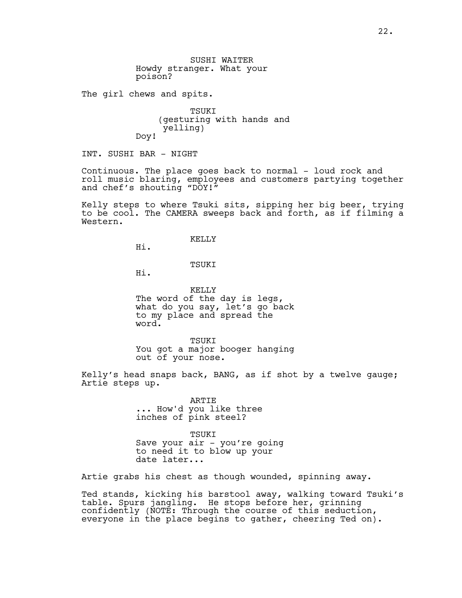The girl chews and spits.

TSUKI (gesturing with hands and yelling) Doy!

INT. SUSHI BAR - NIGHT

Continuous. The place goes back to normal - loud rock and roll music blaring, employees and customers partying together and chef's shouting "DOY!"

Kelly steps to where Tsuki sits, sipping her big beer, trying to be cool. The CAMERA sweeps back and forth, as if filming a Western.

KELLY

Hi.

#### TSUKI

Hi.

KELLY The word of the day is legs, what do you say, let's go back to my place and spread the word.

TSUKI You got a major booger hanging out of your nose.

Kelly's head snaps back, BANG, as if shot by a twelve gauge; Artie steps up.

> ARTIE ... How'd you like three inches of pink steel?

TSUKI Save your air - you're going to need it to blow up your date later...

Artie grabs his chest as though wounded, spinning away.

Ted stands, kicking his barstool away, walking toward Tsuki's table. Spurs jangling. He stops before her, grinning confidently (NOTE: Through the course of this seduction, everyone in the place begins to gather, cheering Ted on).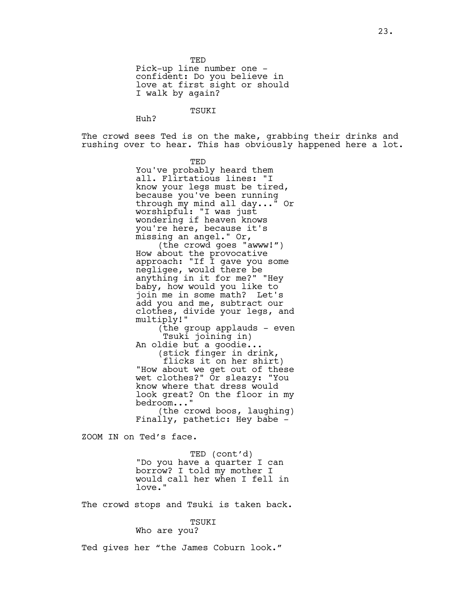TED Pick-up line number one confident: Do you believe in love at first sight or should I walk by again?

TSUKI

Huh?

The crowd sees Ted is on the make, grabbing their drinks and rushing over to hear. This has obviously happened here a lot.

TED

You've probably heard them all. Flirtatious lines: "I know your legs must be tired, because you've been running through my mind all day..." Or worshipful: "I was just wondering if heaven knows you're here, because it's missing an angel." Or,

(the crowd goes "awww!") How about the provocative approach: "If I gave you some negligee, would there be anything in it for me?" "Hey baby, how would you like to join me in some math? Let's add you and me, subtract our clothes, divide your legs, and multiply!"

(the group applauds - even Tsuki joining in)

An oldie but a goodie... (stick finger in drink,

flicks it on her shirt) "How about we get out of these wet clothes?" Or sleazy: "You know where that dress would look great? On the floor in my bedroom..."

(the crowd boos, laughing) Finally, pathetic: Hey babe -

ZOOM IN on Ted's face.

TED (cont'd) "Do you have a quarter I can borrow? I told my mother I would call her when I fell in love."

The crowd stops and Tsuki is taken back.

#### TSUKI

Who are you?

Ted gives her "the James Coburn look."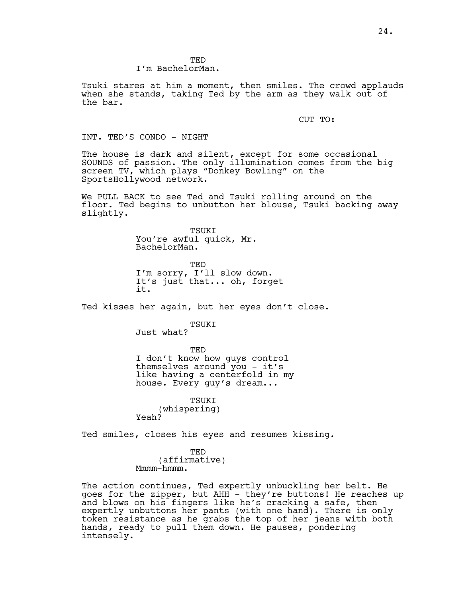TED I'm BachelorMan.

Tsuki stares at him a moment, then smiles. The crowd applauds when she stands, taking Ted by the arm as they walk out of the bar.

CUT TO:

#### INT. TED'S CONDO - NIGHT

The house is dark and silent, except for some occasional SOUNDS of passion. The only illumination comes from the big screen TV, which plays "Donkey Bowling" on the SportsHollywood network.

We PULL BACK to see Ted and Tsuki rolling around on the floor. Ted begins to unbutton her blouse, Tsuki backing away slightly.

> TSUKI You're awful quick, Mr. BachelorMan.

TED I'm sorry, I'll slow down. It's just that... oh, forget it.

Ted kisses her again, but her eyes don't close.

## TSUKI

Just what?

TED I don't know how guys control themselves around you - it's like having a centerfold in my house. Every guy's dream...

TSUKT (whispering) Yeah?

Ted smiles, closes his eyes and resumes kissing.

TED (affirmative) Mmmm-hmmm.

The action continues, Ted expertly unbuckling her belt. He goes for the zipper, but AHH - they're buttons! He reaches up and blows on his fingers like he's cracking a safe, then expertly unbuttons her pants (with one hand). There is only token resistance as he grabs the top of her jeans with both hands, ready to pull them down. He pauses, pondering intensely.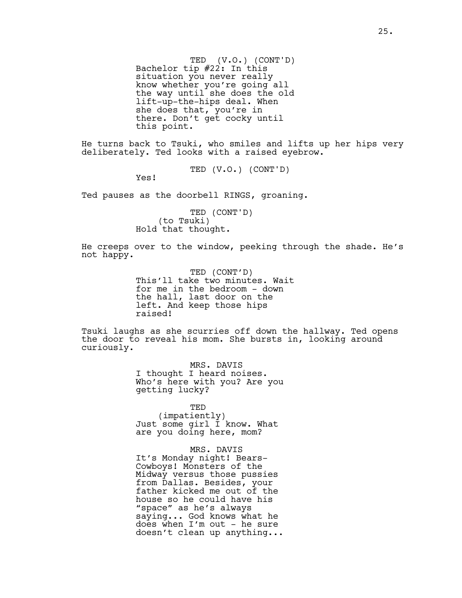TED (V.O.) (CONT'D) Bachelor tip #22: In this situation you never really know whether you're going all the way until she does the old lift-up-the-hips deal. When she does that, you're in there. Don't get cocky until this point.

He turns back to Tsuki, who smiles and lifts up her hips very deliberately. Ted looks with a raised eyebrow.

TED (V.O.) (CONT'D)

Yes!

Ted pauses as the doorbell RINGS, groaning.

TED (CONT'D) (to Tsuki) Hold that thought.

He creeps over to the window, peeking through the shade. He's not happy.

> TED (CONT'D) This'll take two minutes. Wait for me in the bedroom - down the hall, last door on the left. And keep those hips raised!

Tsuki laughs as she scurries off down the hallway. Ted opens the door to reveal his mom. She bursts in, looking around curiously.

> MRS. DAVIS I thought I heard noises. Who's here with you? Are you getting lucky?

TED (impatiently) Just some girl I know. What are you doing here, mom?

MRS. DAVIS It's Monday night! Bears-Cowboys! Monsters of the Midway versus those pussies from Dallas. Besides, your father kicked me out of the house so he could have his "space" as he's always saying... God knows what he does when I'm out - he sure doesn't clean up anything...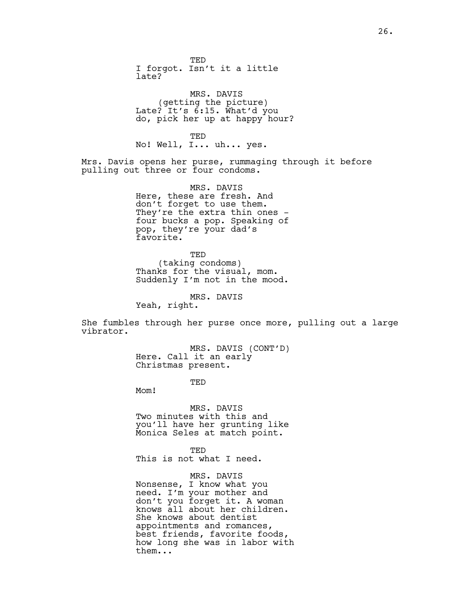TED I forgot. Isn't it a little late?

MRS. DAVIS (getting the picture) Late? It's 6:15. What'd you do, pick her up at happy hour?

TED No! Well, I... uh... yes.

Mrs. Davis opens her purse, rummaging through it before pulling out three or four condoms.

> MRS. DAVIS Here, these are fresh. And don't forget to use them. They're the extra thin ones four bucks a pop. Speaking of pop, they're your dad's favorite.

> TED (taking condoms) Thanks for the visual, mom. Suddenly I'm not in the mood.

> > MRS. DAVIS

Yeah, right.

She fumbles through her purse once more, pulling out a large vibrator.

> MRS. DAVIS (CONT'D) Here. Call it an early Christmas present.

> > TED

Mom!

MRS. DAVIS Two minutes with this and you'll have her grunting like Monica Seles at match point.

TED This is not what I need.

MRS. DAVIS

Nonsense, I know what you need. I'm your mother and don't you forget it. A woman knows all about her children. She knows about dentist appointments and romances, best friends, favorite foods, how long she was in labor with them...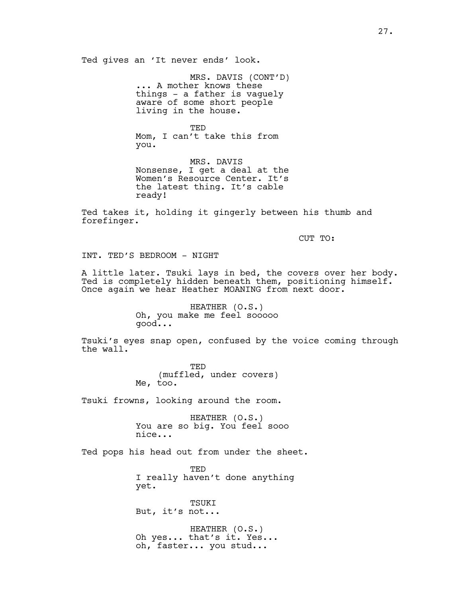Ted gives an 'It never ends' look.

MRS. DAVIS (CONT'D) ... A mother knows these things - a father is vaguely aware of some short people living in the house.

TED Mom, I can't take this from you.

MRS. DAVIS Nonsense, I get a deal at the Women's Resource Center. It's the latest thing. It's cable ready!

Ted takes it, holding it gingerly between his thumb and forefinger.

CUT TO:

INT. TED'S BEDROOM - NIGHT

A little later. Tsuki lays in bed, the covers over her body. Ted is completely hidden beneath them, positioning himself. Once again we hear Heather MOANING from next door.

> HEATHER (O.S.) Oh, you make me feel sooooo good...

Tsuki's eyes snap open, confused by the voice coming through the wall.

> TED (muffled, under covers) Me, too.

Tsuki frowns, looking around the room.

HEATHER (O.S.) You are so big. You feel sooo nice...

Ted pops his head out from under the sheet.

**TED** I really haven't done anything yet.

TSUKI But, it's not...

HEATHER (O.S.) Oh yes... that's it. Yes... oh, faster... you stud...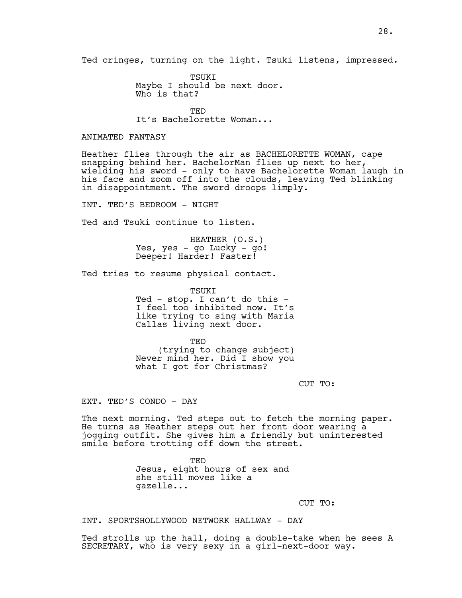TSUKI Maybe I should be next door. Who is that?

**TED** It's Bachelorette Woman...

#### ANIMATED FANTASY

Heather flies through the air as BACHELORETTE WOMAN, cape snapping behind her. BachelorMan flies up next to her, wielding his sword - only to have Bachelorette Woman laugh in his face and zoom off into the clouds, leaving Ted blinking in disappointment. The sword droops limply.

INT. TED'S BEDROOM - NIGHT

Ted and Tsuki continue to listen.

HEATHER (O.S.) Yes, yes - go Lucky - go! Deeper! Harder! Faster!

Ted tries to resume physical contact.

TSUKI Ted - stop. I can't do this - I feel too inhibited now. It's like trying to sing with Maria Callas living next door.

TED (trying to change subject) Never mind her. Did I show you what I got for Christmas?

CUT TO:

EXT. TED'S CONDO - DAY

The next morning. Ted steps out to fetch the morning paper. He turns as Heather steps out her front door wearing a jogging outfit. She gives him a friendly but uninterested smile before trotting off down the street.

> TED Jesus, eight hours of sex and she still moves like a gazelle...

> > CUT TO:

# INT. SPORTSHOLLYWOOD NETWORK HALLWAY - DAY

Ted strolls up the hall, doing a double-take when he sees A SECRETARY, who is very sexy in a girl-next-door way.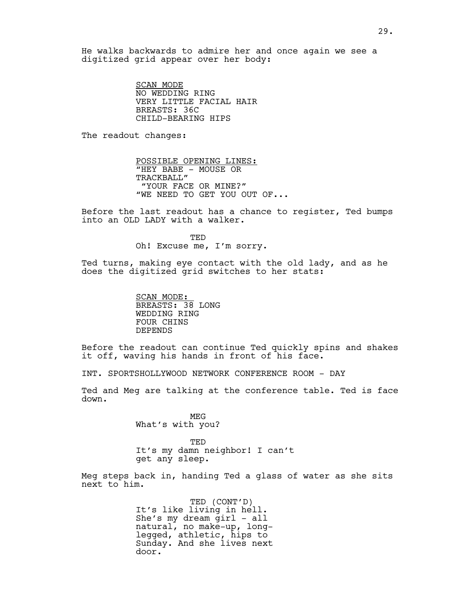He walks backwards to admire her and once again we see a digitized grid appear over her body:

> SCAN MODE NO WEDDING RING VERY LITTLE FACIAL HAIR BREASTS: 36C CHILD-BEARING HIPS

The readout changes:

POSSIBLE OPENING LINES: "HEY BABE - MOUSE OR TRACKBALL" "YOUR FACE OR MINE?" "WE NEED TO GET YOU OUT OF...

Before the last readout has a chance to register, Ted bumps into an OLD LADY with a walker.

> TED Oh! Excuse me, I'm sorry.

Ted turns, making eye contact with the old lady, and as he does the digitized grid switches to her stats:

> SCAN MODE: BREASTS: 38 LONG WEDDING RING FOUR CHINS DEPENDS

Before the readout can continue Ted quickly spins and shakes it off, waving his hands in front of his face.

INT. SPORTSHOLLYWOOD NETWORK CONFERENCE ROOM - DAY

Ted and Meg are talking at the conference table. Ted is face down.

> MEG What's with you?

TED It's my damn neighbor! I can't get any sleep.

Meg steps back in, handing Ted a glass of water as she sits next to him.

> TED (CONT'D) It's like living in hell. She's my dream girl - all natural, no make-up, longlegged, athletic, hips to Sunday. And she lives next door.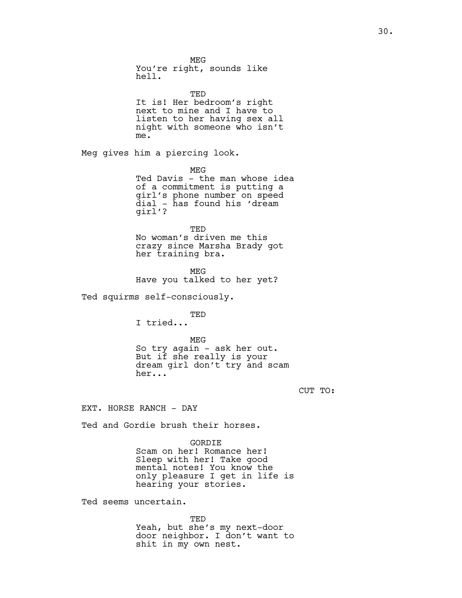MEG You're right, sounds like hell. TED It is! Her bedroom's right next to mine and I have to listen to her having sex all night with someone who isn't me. Meg gives him a piercing look. MEG Ted Davis - the man whose idea of a commitment is putting a girl's phone number on speed dial - has found his 'dream girl'? TED No woman's driven me this crazy since Marsha Brady got her training bra. MEG Have you talked to her yet? Ted squirms self-consciously. TED I tried... MEG

So try again - ask her out. But if she really is your dream girl don't try and scam her...

CUT TO:

EXT. HORSE RANCH - DAY

Ted and Gordie brush their horses.

GORDIE Scam on her! Romance her! Sleep with her! Take good mental notes! You know the only pleasure I get in life is hearing your stories.

Ted seems uncertain.

TED Yeah, but she's my next-door door neighbor. I don't want to shit in my own nest.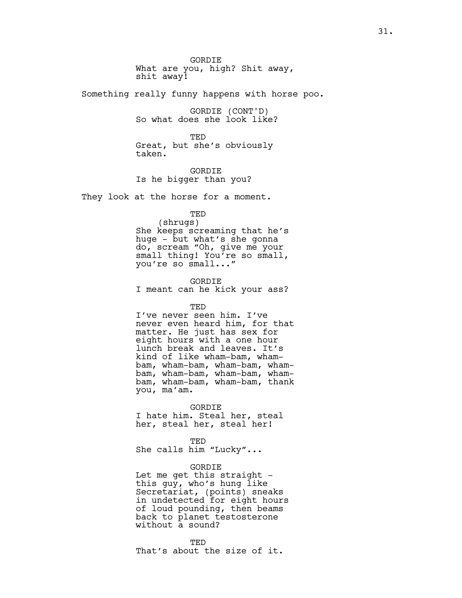GORDIE What are you, high? Shit away, shit away!

Something really funny happens with horse poo.

GORDIE (CONT'D) So what does she look like?

TED Great, but she's obviously taken.

GORDIE Is he bigger than you?

They look at the horse for a moment.

TED

(shrugs) She keeps screaming that he's huge - but what's she gonna do, scream "Oh, give me your small thing! You're so small, you're so small..."

GORDIE I meant can he kick your ass?

TED

I've never seen him. I've never even heard him, for that matter. He just has sex for eight hours with a one hour lunch break and leaves. It's kind of like wham-bam, whambam, wham-bam, wham-bam, whambam, wham-bam, wham-bam, whambam, wham-bam, wham-bam, thank you, ma'am.

GORDIE

I hate him. Steal her, steal her, steal her, steal her!

TED She calls him "Lucky"...

GORDIE

Let me get this straight this guy, who's hung like Secretariat, (points) sneaks in undetected for eight hours of loud pounding, then beams back to planet testosterone without a sound?

TED That's about the size of it.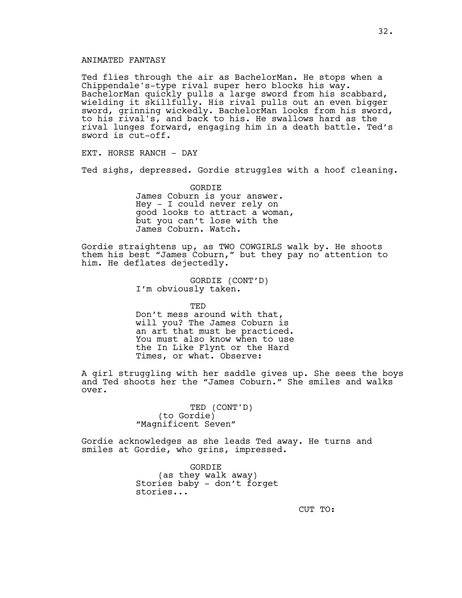## ANIMATED FANTASY

Ted flies through the air as BachelorMan. He stops when a Chippendale's-type rival super hero blocks his way. BachelorMan quickly pulls a large sword from his scabbard, wielding it skillfully. His rival pulls out an even bigger sword, grinning wickedly. BachelorMan looks from his sword, to his rival's, and back to his. He swallows hard as the rival lunges forward, engaging him in a death battle. Ted's sword is cut-off.

EXT. HORSE RANCH - DAY

Ted sighs, depressed. Gordie struggles with a hoof cleaning.

GORDIE James Coburn is your answer. Hey - I could never rely on good looks to attract a woman, but you can't lose with the James Coburn. Watch.

Gordie straightens up, as TWO COWGIRLS walk by. He shoots them his best "James Coburn," but they pay no attention to him. He deflates dejectedly.

> GORDIE (CONT'D) I'm obviously taken.

**TED** Don't mess around with that, will you? The James Coburn is an art that must be practiced. You must also know when to use the In Like Flynt or the Hard Times, or what. Observe:

A girl struggling with her saddle gives up. She sees the boys and Ted shoots her the "James Coburn." She smiles and walks over.

> TED (CONT'D) (to Gordie) "Magnificent Seven"

Gordie acknowledges as she leads Ted away. He turns and smiles at Gordie, who grins, impressed.

> GORDIE (as they walk away) Stories baby - don't forget stories...

CUT TO: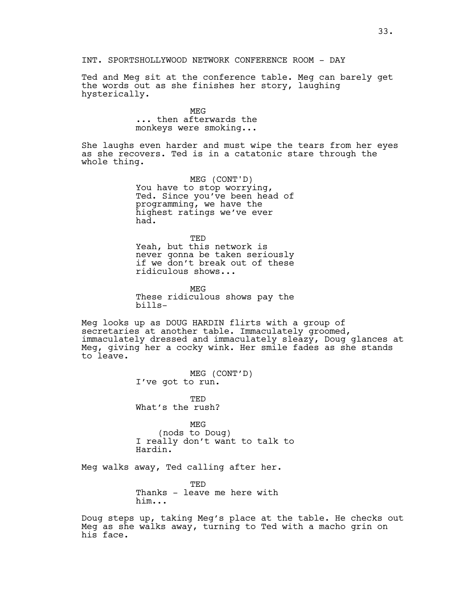INT. SPORTSHOLLYWOOD NETWORK CONFERENCE ROOM - DAY

Ted and Meg sit at the conference table. Meg can barely get the words out as she finishes her story, laughing hysterically.

> **MEG** ... then afterwards the monkeys were smoking...

She laughs even harder and must wipe the tears from her eyes as she recovers. Ted is in a catatonic stare through the whole thing.

> MEG (CONT'D) You have to stop worrying, Ted. Since you've been head of programming, we have the highest ratings we've ever had.

> TED Yeah, but this network is never gonna be taken seriously if we don't break out of these ridiculous shows...

> MEG These ridiculous shows pay the bills-

Meg looks up as DOUG HARDIN flirts with a group of secretaries at another table. Immaculately groomed, immaculately dressed and immaculately sleazy, Doug glances at Meg, giving her a cocky wink. Her smile fades as she stands to leave.

> MEG (CONT'D) I've got to run.

TED What's the rush?

MEG (nods to Doug) I really don't want to talk to Hardin.

Meg walks away, Ted calling after her.

**TED** Thanks - leave me here with him...

Doug steps up, taking Meg's place at the table. He checks out Meg as she walks away, turning to Ted with a macho grin on his face.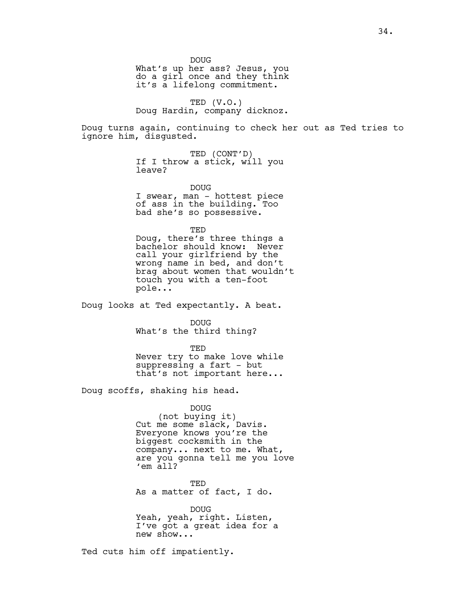DOUG

What's up her ass? Jesus, you do a girl once and they think it's a lifelong commitment.

TED (V.O.) Doug Hardin, company dicknoz.

Doug turns again, continuing to check her out as Ted tries to ignore him, disgusted.

> TED (CONT'D) If I throw a stick, will you leave?

DOUG I swear, man - hottest piece of ass in the building. Too bad she's so possessive.

TED Doug, there's three things a bachelor should know: Never call your girlfriend by the wrong name in bed, and don't brag about women that wouldn't touch you with a ten-foot pole...

Doug looks at Ted expectantly. A beat.

DOUG What's the third thing?

TED

Never try to make love while suppressing a fart - but that's not important here...

Doug scoffs, shaking his head.

DOUG (not buying it) Cut me some slack, Davis. Everyone knows you're the biggest cocksmith in the company... next to me. What, are you gonna tell me you love 'em all?

TED As a matter of fact, I do.

DOUG Yeah, yeah, right. Listen, I've got a great idea for a new show...

Ted cuts him off impatiently.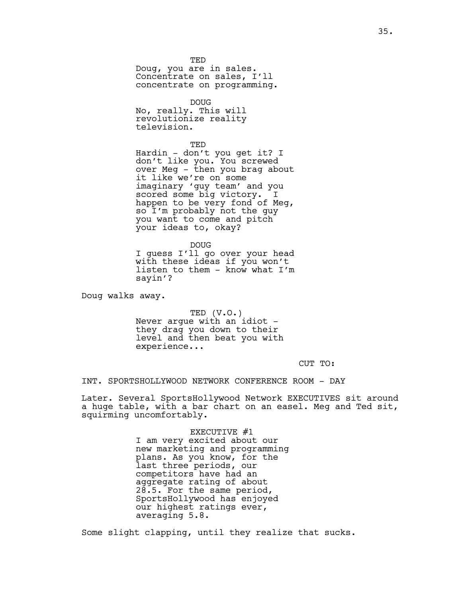TED Doug, you are in sales. Concentrate on sales, I'll concentrate on programming.

**DOUG** No, really. This will revolutionize reality television.

TED Hardin - don't you get it? I don't like you. You screwed over Meg - then you brag about it like we're on some imaginary 'guy team' and you scored some big victory. I happen to be very fond of Meg, so I'm probably not the guy you want to come and pitch your ideas to, okay?

DOUG I guess I'll go over your head with these ideas if you won't listen to them - know what I'm sayin'?

Doug walks away.

TED (V.O.) Never argue with an idiot they drag you down to their level and then beat you with experience...

CUT TO:

INT. SPORTSHOLLYWOOD NETWORK CONFERENCE ROOM - DAY

Later. Several SportsHollywood Network EXECUTIVES sit around a huge table, with a bar chart on an easel. Meg and Ted sit, squirming uncomfortably.

> EXECUTIVE #1 I am very excited about our new marketing and programming plans. As you know, for the last three periods, our competitors have had an aggregate rating of about 28.5. For the same period, SportsHollywood has enjoyed our highest ratings ever, averaging 5.8.

Some slight clapping, until they realize that sucks.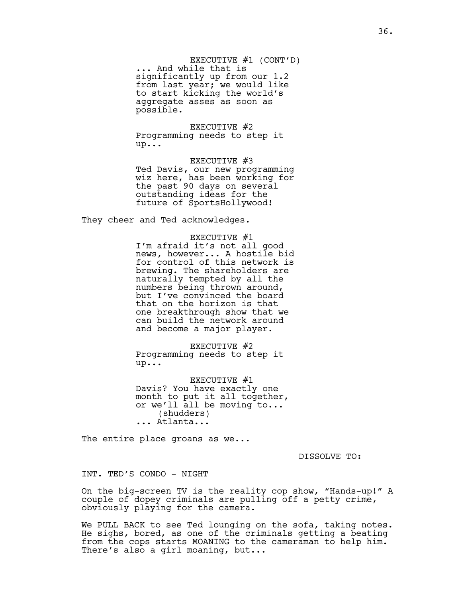EXECUTIVE #1 (CONT'D) ... And while that is significantly up from our 1.2 from last year; we would like to start kicking the world's aggregate asses as soon as possible.

EXECUTIVE #2 Programming needs to step it up...

EXECUTIVE #3 Ted Davis, our new programming wiz here, has been working for the past 90 days on several outstanding ideas for the future of SportsHollywood!

They cheer and Ted acknowledges.

# EXECUTIVE #1

I'm afraid it's not all good news, however... A hostile bid for control of this network is brewing. The shareholders are naturally tempted by all the numbers being thrown around, but I've convinced the board that on the horizon is that one breakthrough show that we can build the network around and become a major player.

EXECUTIVE #2 Programming needs to step it up...

EXECUTIVE #1 Davis? You have exactly one month to put it all together, or we'll all be moving to... (shudders) ... Atlanta...

The entire place groans as we...

DISSOLVE TO:

INT. TED'S CONDO - NIGHT

On the big-screen TV is the reality cop show, "Hands-up!" A couple of dopey criminals are pulling off a petty crime, obviously playing for the camera.

We PULL BACK to see Ted lounging on the sofa, taking notes. He sighs, bored, as one of the criminals getting a beating from the cops starts MOANING to the cameraman to help him. There's also a girl moaning, but...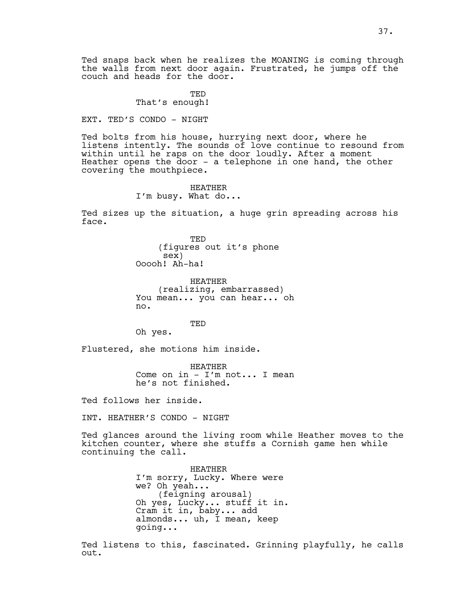Ted snaps back when he realizes the MOANING is coming through the walls from next door again. Frustrated, he jumps off the couch and heads for the door.

> TED That's enough!

EXT. TED'S CONDO - NIGHT

Ted bolts from his house, hurrying next door, where he listens intently. The sounds of love continue to resound from within until he raps on the door loudly. After a moment Heather opens the door - a telephone in one hand, the other covering the mouthpiece.

> HEATHER I'm busy. What do...

Ted sizes up the situation, a huge grin spreading across his face.

> TED (figures out it's phone sex) Ooooh! Ah-ha!

HEATHER (realizing, embarrassed) You mean... you can hear... oh no.

TED

Oh yes.

Flustered, she motions him inside.

HEATHER Come on in - I'm not... I mean he's not finished.

Ted follows her inside.

INT. HEATHER'S CONDO - NIGHT

Ted glances around the living room while Heather moves to the kitchen counter, where she stuffs a Cornish game hen while continuing the call.

> HEATHER I'm sorry, Lucky. Where were we? Oh yeah... (feigning arousal) Oh yes, Lucky... stuff it in. Cram it in, baby... add almonds... uh, I mean, keep going...

Ted listens to this, fascinated. Grinning playfully, he calls out.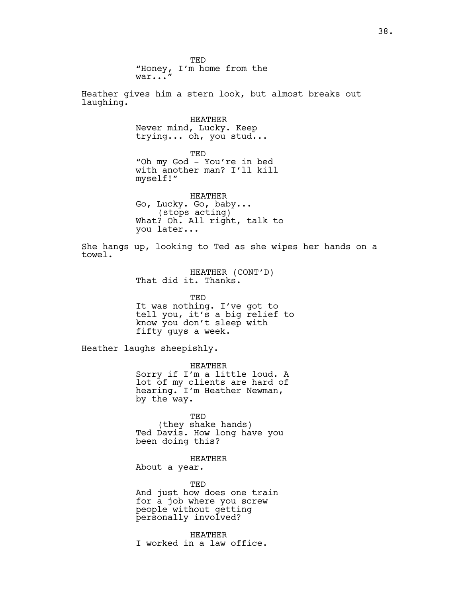TED "Honey, I'm home from the war..." Heather gives him a stern look, but almost breaks out laughing. HEATHER Never mind, Lucky. Keep trying... oh, you stud... TED "Oh my God - You're in bed with another man? I'll kill myself!" HEATHER Go, Lucky. Go, baby... (stops acting) What? Oh. All right, talk to you later... She hangs up, looking to Ted as she wipes her hands on a towel. HEATHER (CONT'D) That did it. Thanks. TED It was nothing. I've got to tell you, it's a big relief to know you don't sleep with fifty guys a week. Heather laughs sheepishly. HEATHER Sorry if I'm a little loud. A lot of my clients are hard of hearing. I'm Heather Newman, by the way. TED (they shake hands) Ted Davis. How long have you been doing this? HEATHER About a year. TED And just how does one train for a job where you screw people without getting personally involved? HEATHER

I worked in a law office.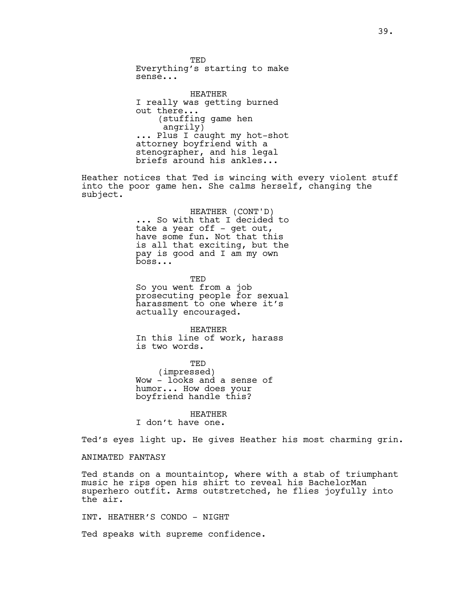TED Everything's starting to make sense...

HEATHER I really was getting burned out there... (stuffing game hen angrily) ... Plus I caught my hot-shot attorney boyfriend with a stenographer, and his legal briefs around his ankles...

Heather notices that Ted is wincing with every violent stuff into the poor game hen. She calms herself, changing the subject.

> HEATHER (CONT'D) ... So with that I decided to take a year off  $-$  get out, have some fun. Not that this is all that exciting, but the pay is good and I am my own boss...

TED So you went from a job prosecuting people for sexual harassment to one where it's actually encouraged.

HEATHER In this line of work, harass is two words.

TED (impressed) Wow - looks and a sense of humor... How does your boyfriend handle this?

HEATHER I don't have one.

Ted's eyes light up. He gives Heather his most charming grin.

ANIMATED FANTASY

Ted stands on a mountaintop, where with a stab of triumphant music he rips open his shirt to reveal his BachelorMan superhero outfit. Arms outstretched, he flies joyfully into the air.

INT. HEATHER'S CONDO - NIGHT

Ted speaks with supreme confidence.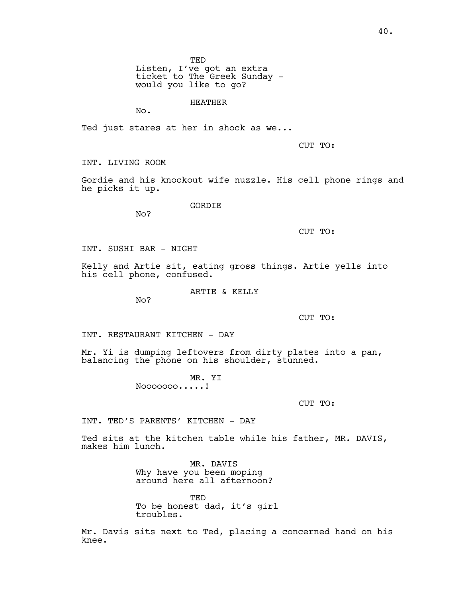Listen, I've got an extra ticket to The Greek Sunday would you like to go?

HEATHER

No.

Ted just stares at her in shock as we...

CUT TO:

INT. LIVING ROOM

Gordie and his knockout wife nuzzle. His cell phone rings and he picks it up.

**GORDIE** 

No?

CUT TO:

INT. SUSHI BAR - NIGHT

Kelly and Artie sit, eating gross things. Artie yells into his cell phone, confused.

ARTIE & KELLY

No?

CUT TO:

INT. RESTAURANT KITCHEN - DAY

Mr. Yi is dumping leftovers from dirty plates into a pan, balancing the phone on his shoulder, stunned.

> MR. YI Nooooooo.....!

> > CUT TO:

INT. TED'S PARENTS' KITCHEN - DAY

Ted sits at the kitchen table while his father, MR. DAVIS, makes him lunch.

> MR. DAVIS Why have you been moping around here all afternoon?

TED To be honest dad, it's girl troubles.

Mr. Davis sits next to Ted, placing a concerned hand on his knee.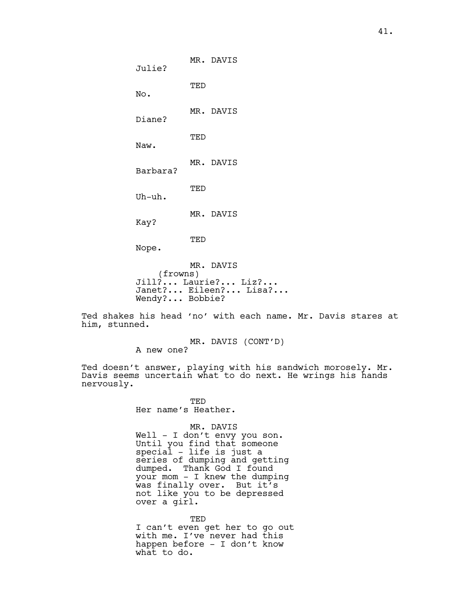MR. DAVIS Julie? TED No. MR. DAVIS Diane? TED Naw. MR. DAVIS Barbara? TED Uh-uh. MR. DAVIS Kay? TED Nope. MR. DAVIS (frowns) Jill?... Laurie?... Liz?... Janet?... Eileen?... Lisa?...

Ted shakes his head 'no' with each name. Mr. Davis stares at him, stunned.

> MR. DAVIS (CONT'D) A new one?

Ted doesn't answer, playing with his sandwich morosely. Mr. Davis seems uncertain what to do next. He wrings his hands nervously.

> TED Her name's Heather.

Wendy?... Bobbie?

MR. DAVIS Well - I don't envy you son. Until you find that someone special - life is just a series of dumping and getting dumped. Thank God I found your mom - I knew the dumping was finally over. But it's not like you to be depressed over a girl.

TED I can't even get her to go out with me. I've never had this happen before - I don't know what to do.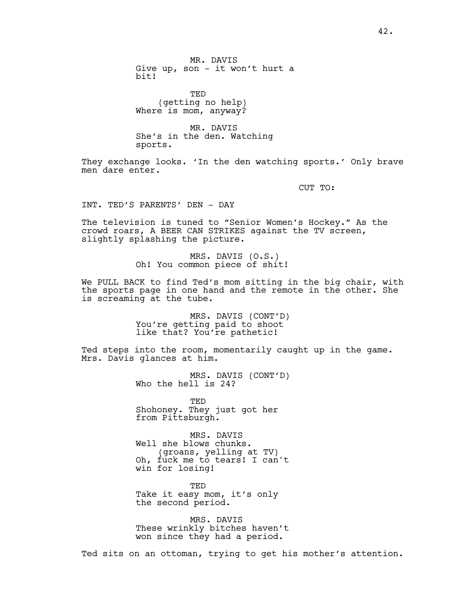MR. DAVIS Give up, son - it won't hurt a bit!

TED (getting no help) Where is mom, anyway?

MR. DAVIS She's in the den. Watching sports.

They exchange looks. 'In the den watching sports.' Only brave men dare enter.

CUT TO:

INT. TED'S PARENTS' DEN - DAY

The television is tuned to "Senior Women's Hockey." As the crowd roars, A BEER CAN STRIKES against the TV screen, slightly splashing the picture.

> MRS. DAVIS (O.S.) Oh! You common piece of shit!

We PULL BACK to find Ted's mom sitting in the big chair, with the sports page in one hand and the remote in the other. She is screaming at the tube.

> MRS. DAVIS (CONT'D) You're getting paid to shoot like that? You're pathetic!

Ted steps into the room, momentarily caught up in the game. Mrs. Davis glances at him.

> MRS. DAVIS (CONT'D) Who the hell is 24?

**TED** Shohoney. They just got her from Pittsburgh.

MRS. DAVIS Well she blows chunks. (groans, yelling at TV) Oh, fuck me to tears! I can't win for losing!

TED Take it easy mom, it's only the second period.

MRS. DAVIS These wrinkly bitches haven't won since they had a period.

Ted sits on an ottoman, trying to get his mother's attention.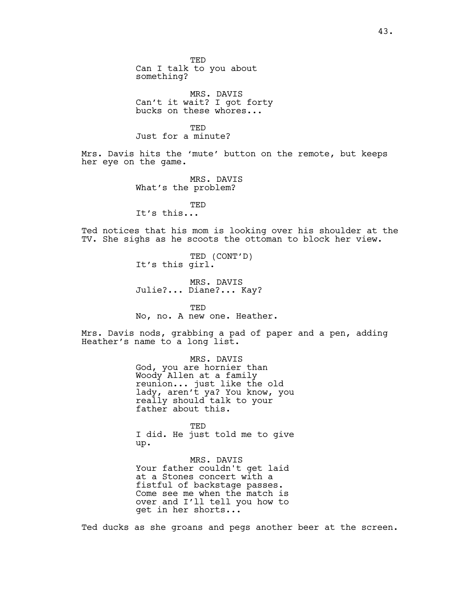TED Can I talk to you about something?

MRS. DAVIS Can't it wait? I got forty bucks on these whores...

TED Just for a minute?

Mrs. Davis hits the 'mute' button on the remote, but keeps her eye on the game.

> MRS. DAVIS What's the problem?

TED It's this...

Ted notices that his mom is looking over his shoulder at the TV. She sighs as he scoots the ottoman to block her view.

> TED (CONT'D) It's this girl.

MRS. DAVIS Julie?... Diane?... Kay?

**TED** No, no. A new one. Heather.

Mrs. Davis nods, grabbing a pad of paper and a pen, adding Heather's name to a long list.

> MRS. DAVIS God, you are hornier than Woody Allen at a family reunion... just like the old lady, aren't ya? You know, you really should talk to your father about this.

> TED I did. He just told me to give up.

MRS. DAVIS Your father couldn't get laid at a Stones concert with a fistful of backstage passes. Come see me when the match is over and I'll tell you how to get in her shorts...

Ted ducks as she groans and pegs another beer at the screen.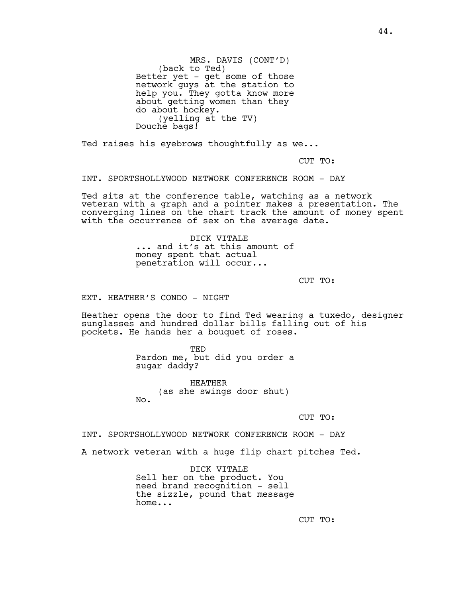MRS. DAVIS (CONT'D) (back to Ted) Better yet - get some of those network guys at the station to help you. They gotta know more about getting women than they do about hockey. (yelling at the TV) Douche bags!

Ted raises his eyebrows thoughtfully as we...

CUT TO:

INT. SPORTSHOLLYWOOD NETWORK CONFERENCE ROOM - DAY

Ted sits at the conference table, watching as a network veteran with a graph and a pointer makes a presentation. The converging lines on the chart track the amount of money spent with the occurrence of sex on the average date.

> DICK VITALE ... and it's at this amount of money spent that actual penetration will occur...

> > CUT TO:

EXT. HEATHER'S CONDO - NIGHT

Heather opens the door to find Ted wearing a tuxedo, designer sunglasses and hundred dollar bills falling out of his pockets. He hands her a bouquet of roses.

> TED Pardon me, but did you order a sugar daddy?

HEATHER (as she swings door shut) No.

CUT TO:

INT. SPORTSHOLLYWOOD NETWORK CONFERENCE ROOM - DAY

A network veteran with a huge flip chart pitches Ted.

DICK VITALE Sell her on the product. You need brand recognition - sell the sizzle, pound that message home...

CUT TO: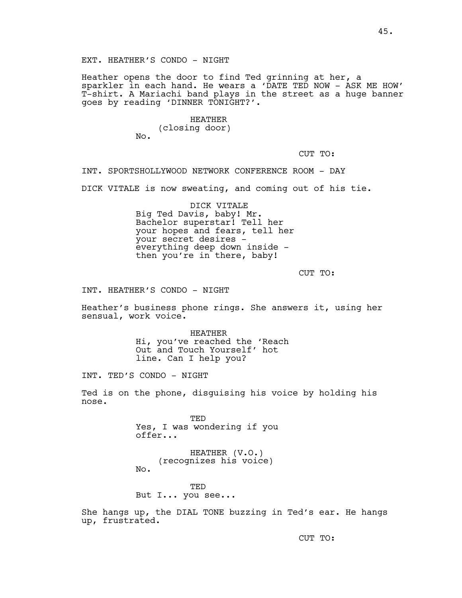EXT. HEATHER'S CONDO - NIGHT

Heather opens the door to find Ted grinning at her, a sparkler in each hand. He wears a 'DATE TED NOW - ASK ME HOW' T-shirt. A Mariachi band plays in the street as a huge banner goes by reading 'DINNER TONIGHT?'.

> HEATHER (closing door) No.

> > CUT TO:

INT. SPORTSHOLLYWOOD NETWORK CONFERENCE ROOM - DAY

DICK VITALE is now sweating, and coming out of his tie.

DICK VITALE Big Ted Davis, baby! Mr. Bachelor superstar! Tell her your hopes and fears, tell her your secret desires everything deep down inside then you're in there, baby!

CUT TO:

INT. HEATHER'S CONDO - NIGHT

Heather's business phone rings. She answers it, using her sensual, work voice.

> HEATHER Hi, you've reached the 'Reach Out and Touch Yourself' hot line. Can I help you?

INT. TED'S CONDO - NIGHT

Ted is on the phone, disguising his voice by holding his nose.

> TED Yes, I was wondering if you offer...

HEATHER (V.O.) (recognizes his voice) No.

TED But I... you see...

She hangs up, the DIAL TONE buzzing in Ted's ear. He hangs up, frustrated.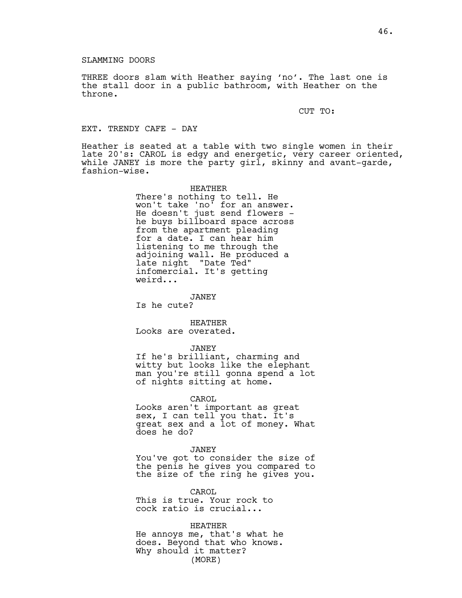## SLAMMING DOORS

THREE doors slam with Heather saying 'no'. The last one is the stall door in a public bathroom, with Heather on the throne.

CUT TO:

# EXT. TRENDY CAFE - DAY

Heather is seated at a table with two single women in their late 20's: CAROL is edgy and energetic, very career oriented, while JANEY is more the party girl, skinny and avant-garde, fashion-wise.

> HEATHER There's nothing to tell. He won't take 'no' for an answer. He doesn't just send flowers he buys billboard space across from the apartment pleading for a date. I can hear him listening to me through the adjoining wall. He produced a late night "Date Ted" infomercial. It's getting weird...

JANEY Is he cute?

HEATHER Looks are overated.

### JANEY

If he's brilliant, charming and witty but looks like the elephant man you're still gonna spend a lot of nights sitting at home.

### CAROL

Looks aren't important as great sex, I can tell you that. It's great sex and a lot of money. What does he do?

### JANEY

You've got to consider the size of the penis he gives you compared to the size of the ring he gives you.

CAROL This is true. Your rock to cock ratio is crucial...

HEATHER He annoys me, that's what he does. Beyond that who knows. Why should it matter? (MORE)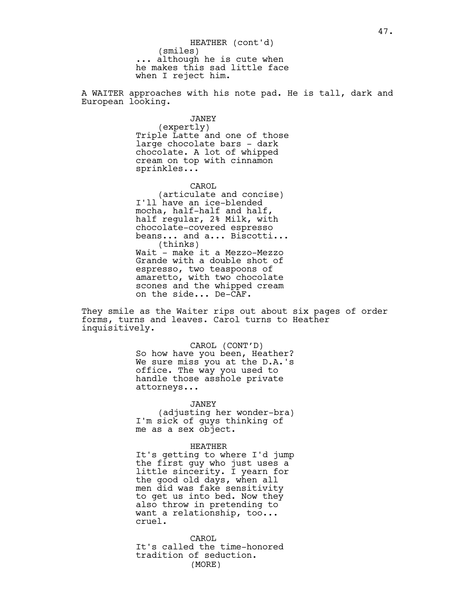A WAITER approaches with his note pad. He is tall, dark and European looking.

> JANEY (expertly) Triple Latte and one of those large chocolate bars - dark chocolate. A lot of whipped cream on top with cinnamon sprinkles...

> CAROL (articulate and concise) I'll have an ice-blended mocha, half-half and half, half regular, 2% Milk, with chocolate-covered espresso beans... and a... Biscotti... (thinks) Wait - make it a Mezzo-Mezzo Grande with a double shot of espresso, two teaspoons of amaretto, with two chocolate scones and the whipped cream on the side... De-CAF.

They smile as the Waiter rips out about six pages of order forms, turns and leaves. Carol turns to Heather inquisitively.

> CAROL (CONT'D) So how have you been, Heather? We sure miss you at the D.A.'s office. The way you used to handle those asshole private attorneys...

## JANEY

(adjusting her wonder-bra) I'm sick of guys thinking of me as a sex object.

### HEATHER

It's getting to where I'd jump the first guy who just uses a little sincerity. I yearn for the good old days, when all men did was fake sensitivity to get us into bed. Now they also throw in pretending to want a relationship, too... cruel.

CAROL It's called the time-honored tradition of seduction. (MORE)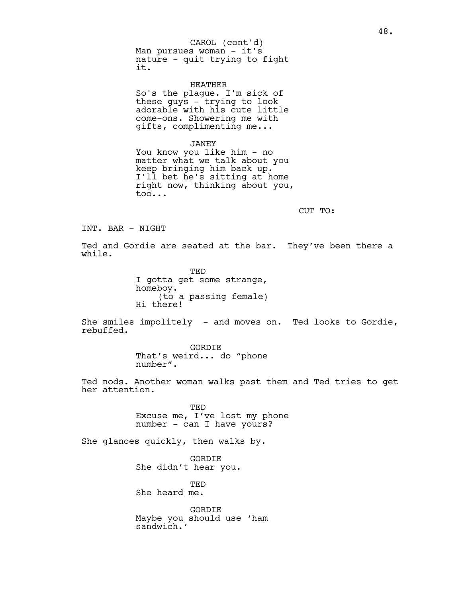Man pursues woman - it's nature - quit trying to fight it. CAROL (cont'd)

HEATHER So's the plague. I'm sick of these guys - trying to look adorable with his cute little come-ons. Showering me with gifts, complimenting me...

JANEY

You know you like him - no matter what we talk about you keep bringing him back up. I'll bet he's sitting at home right now, thinking about you, too...

CUT TO:

INT. BAR - NIGHT

Ted and Gordie are seated at the bar. They've been there a while.

> TED I gotta get some strange, homeboy. (to a passing female) Hi there!

She smiles impolitely - and moves on. Ted looks to Gordie, rebuffed.

> GORDIE That's weird... do "phone number".

Ted nods. Another woman walks past them and Ted tries to get her attention.

> TED Excuse me, I've lost my phone number - can I have yours?

She glances quickly, then walks by.

GORDIE She didn't hear you.

TED She heard me.

GORDIE Maybe you should use 'ham sandwich.'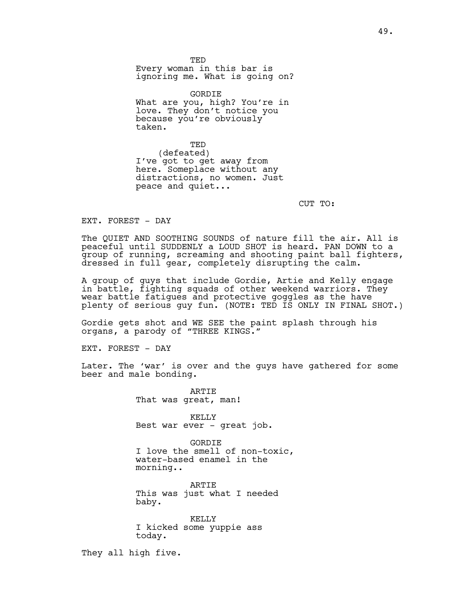TED Every woman in this bar is ignoring me. What is going on?

GORDIE What are you, high? You're in love. They don't notice you because you're obviously taken.

TED (defeated) I've got to get away from here. Someplace without any distractions, no women. Just peace and quiet...

CUT TO:

EXT. FOREST - DAY

The OUIET AND SOOTHING SOUNDS of nature fill the air. All is peaceful until SUDDENLY a LOUD SHOT is heard. PAN DOWN to a group of running, screaming and shooting paint ball fighters, dressed in full gear, completely disrupting the calm.

A group of guys that include Gordie, Artie and Kelly engage in battle, fighting squads of other weekend warriors. They wear battle fatigues and protective goggles as the have plenty of serious guy fun. (NOTE: TED IS ONLY IN FINAL SHOT.)

Gordie gets shot and WE SEE the paint splash through his organs, a parody of "THREE KINGS."

EXT. FOREST - DAY

Later. The 'war' is over and the guys have gathered for some beer and male bonding.

> ARTIE That was great, man!

KELLY Best war ever - great job.

GORDIE I love the smell of non-toxic, water-based enamel in the morning..

ARTIE This was just what I needed baby.

KELLY I kicked some yuppie ass today.

They all high five.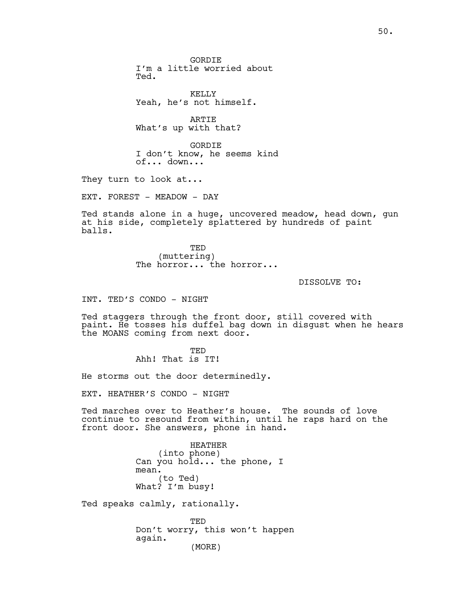KELLY Yeah, he's not himself.

ARTIE What's up with that?

GORDIE I don't know, he seems kind of... down...

They turn to look at...

EXT. FOREST - MEADOW - DAY

Ted stands alone in a huge, uncovered meadow, head down, gun at his side, completely splattered by hundreds of paint balls.

> TED (muttering) The horror... the horror...

> > DISSOLVE TO:

INT. TED'S CONDO - NIGHT

Ted staggers through the front door, still covered with paint. He tosses his duffel bag down in disgust when he hears the MOANS coming from next door.

> **TED** Ahh! That is IT!

He storms out the door determinedly.

EXT. HEATHER'S CONDO - NIGHT

Ted marches over to Heather's house. The sounds of love continue to resound from within, until he raps hard on the front door. She answers, phone in hand.

> HEATHER (into phone) Can you hold... the phone, I mean. (to Ted) What? I'm busy!

Ted speaks calmly, rationally.

TED Don't worry, this won't happen again. (MORE)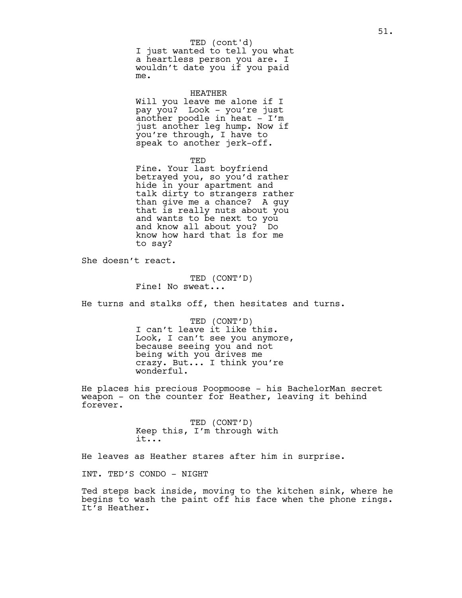## TED (cont'd)

I just wanted to tell you what a heartless person you are. I wouldn't date you if you paid me.

HEATHER Will you leave me alone if I pay you? Look - you're just another poodle in heat  $-$  I'm just another leg hump. Now if you're through, I have to speak to another jerk-off.

TED

Fine. Your last boyfriend betrayed you, so you'd rather hide in your apartment and talk dirty to strangers rather than give me a chance? A guy that is really nuts about you and wants to be next to you and know all about you? Do know how hard that is for me to say?

She doesn't react.

TED (CONT'D) Fine! No sweat...

He turns and stalks off, then hesitates and turns.

TED (CONT'D) I can't leave it like this. Look, I can't see you anymore, because seeing you and not being with you drives me crazy. But... I think you're wonderful.

He places his precious Poopmoose - his BachelorMan secret weapon - on the counter for Heather, leaving it behind forever.

> TED (CONT'D) Keep this, I'm through with it...

He leaves as Heather stares after him in surprise.

INT. TED'S CONDO - NIGHT

Ted steps back inside, moving to the kitchen sink, where he begins to wash the paint off his face when the phone rings. It's Heather.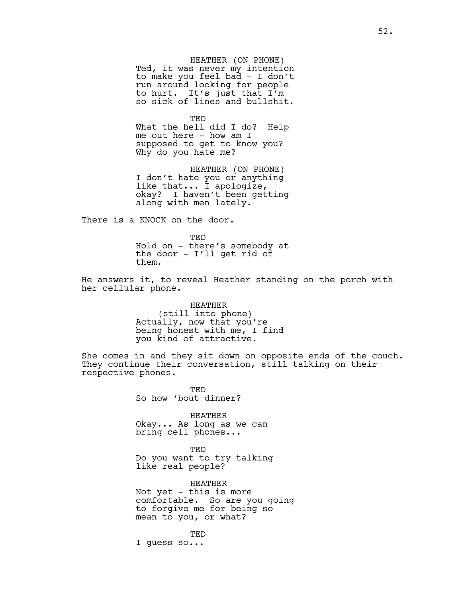HEATHER (ON PHONE) Ted, it was never my intention to make you feel bad - I don't run around looking for people to hurt. It's just that I'm so sick of lines and bullshit.

TED

What the hell did I do? Help me out here - how am I supposed to get to know you? Why do you hate me?

HEATHER (ON PHONE) I don't hate you or anything like that... I apologize, okay? I haven't been getting along with men lately.

There is a KNOCK on the door.

TED Hold on - there's somebody at the door - I'll get rid of them.

He answers it, to reveal Heather standing on the porch with her cellular phone.

> HEATHER (still into phone) Actually, now that you're being honest with me, I find you kind of attractive.

She comes in and they sit down on opposite ends of the couch. They continue their conversation, still talking on their respective phones.

> TED So how 'bout dinner?

HEATHER Okay... As long as we can bring cell phones...

TED Do you want to try talking like real people?

HEATHER Not yet - this is more comfortable. So are you going to forgive me for being so mean to you, or what?

TED I guess so...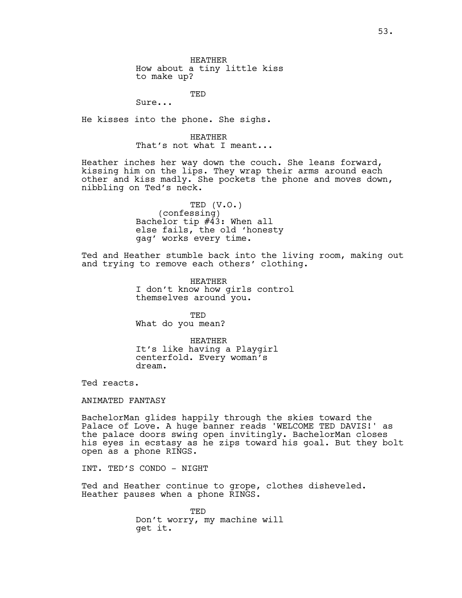HEATHER How about a tiny little kiss to make up?

TED

Sure...

He kisses into the phone. She sighs.

HEATHER That's not what I meant...

Heather inches her way down the couch. She leans forward, kissing him on the lips. They wrap their arms around each other and kiss madly. She pockets the phone and moves down, nibbling on Ted's neck.

> TED (V.O.) (confessing) Bachelor tip #43: When all else fails, the old 'honesty gag' works every time.

Ted and Heather stumble back into the living room, making out and trying to remove each others' clothing.

> HEATHER I don't know how girls control themselves around you.

TED What do you mean?

HEATHER It's like having a Playgirl centerfold. Every woman's dream.

Ted reacts.

ANIMATED FANTASY

BachelorMan glides happily through the skies toward the Palace of Love. A huge banner reads 'WELCOME TED DAVIS!' as the palace doors swing open invitingly. BachelorMan closes his eyes in ecstasy as he zips toward his goal. But they bolt open as a phone RINGS.

INT. TED'S CONDO - NIGHT

Ted and Heather continue to grope, clothes disheveled. Heather pauses when a phone RINGS.

> TED Don't worry, my machine will get it.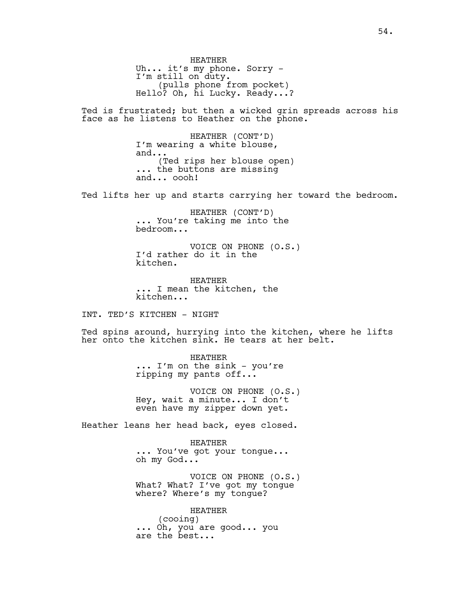HEATHER Uh... it's my phone. Sorry - I'm still on duty. (pulls phone from pocket) Hello? Oh, hi Lucky. Ready...?

Ted is frustrated; but then a wicked grin spreads across his face as he listens to Heather on the phone.

> HEATHER (CONT'D) I'm wearing a white blouse, and... (Ted rips her blouse open) ... the buttons are missing and... oooh!

Ted lifts her up and starts carrying her toward the bedroom.

HEATHER (CONT'D) ... You're taking me into the bedroom...

VOICE ON PHONE (O.S.) I'd rather do it in the kitchen.

HEATHER ... I mean the kitchen, the kitchen...

INT. TED'S KITCHEN - NIGHT

Ted spins around, hurrying into the kitchen, where he lifts her onto the kitchen sink. He tears at her belt.

> HEATHER ... I'm on the sink - you're ripping my pants off...

VOICE ON PHONE (O.S.) Hey, wait a minute... I don't even have my zipper down yet.

Heather leans her head back, eyes closed.

HEATHER ... You've got your tongue... oh my God...

VOICE ON PHONE (O.S.) What? What? I've got my tongue where? Where's my tongue?

HEATHER (cooing) ... Oh, you are good... you are the best...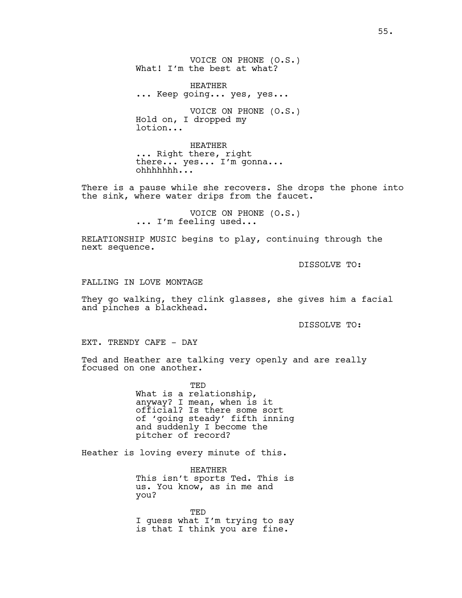VOICE ON PHONE (O.S.) What! I'm the best at what?

HEATHER ... Keep going... yes, yes...

VOICE ON PHONE (O.S.) Hold on, I dropped my lotion...

HEATHER ... Right there, right there... yes... I'm gonna... ohhhhhhh...

There is a pause while she recovers. She drops the phone into the sink, where water drips from the faucet.

> VOICE ON PHONE (O.S.) ... I'm feeling used...

RELATIONSHIP MUSIC begins to play, continuing through the next sequence.

DISSOLVE TO:

FALLING IN LOVE MONTAGE

They go walking, they clink glasses, she gives him a facial and pinches a blackhead.

DISSOLVE TO:

EXT. TRENDY CAFE - DAY

Ted and Heather are talking very openly and are really focused on one another.

> TED What is a relationship, anyway? I mean, when is it official? Is there some sort of 'going steady' fifth inning and suddenly I become the pitcher of record?

Heather is loving every minute of this.

HEATHER This isn't sports Ted. This is us. You know, as in me and you?

TED I guess what I'm trying to say is that I think you are fine.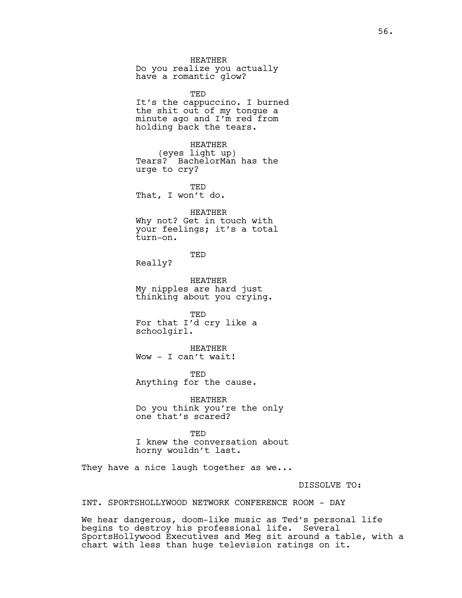HEATHER Do you realize you actually have a romantic glow?

TED It's the cappuccino. I burned the shit out of my tongue a minute ago and I'm red from holding back the tears.

HEATHER (eyes light up) Tears? BachelorMan has the urge to cry?

TED That, I won't do.

HEATHER Why not? Get in touch with your feelings; it's a total turn-on.

TED

Really?

HEATHER My nipples are hard just thinking about you crying.

TED For that I'd cry like a schoolgirl.

HEATHER Wow - I can't wait!

TED Anything for the cause.

HEATHER Do you think you're the only one that's scared?

TED I knew the conversation about horny wouldn't last.

They have a nice laugh together as we...

DISSOLVE TO:

INT. SPORTSHOLLYWOOD NETWORK CONFERENCE ROOM - DAY

We hear dangerous, doom-like music as Ted's personal life begins to destroy his professional life. Several SportsHollywood Executives and Meg sit around a table, with a chart with less than huge television ratings on it.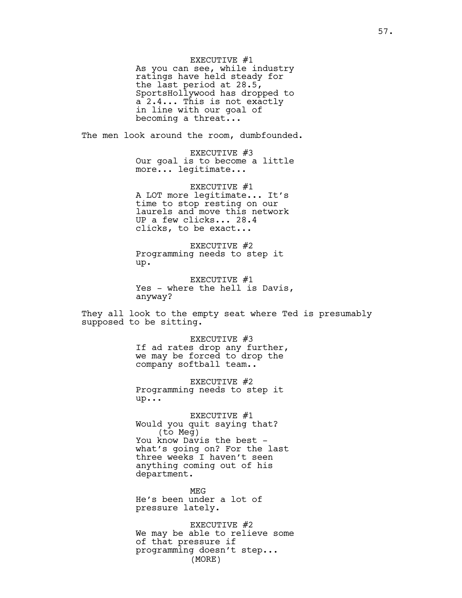EXECUTIVE #1

As you can see, while industry ratings have held steady for the last period at 28.5, SportsHollywood has dropped to a 2.4... This is not exactly in line with our goal of becoming a threat...

The men look around the room, dumbfounded.

EXECUTIVE #3 Our goal is to become a little more... legitimate...

EXECUTIVE #1 A LOT more legitimate... It's time to stop resting on our laurels and move this network UP a few clicks... 28.4 clicks, to be exact...

EXECUTIVE #2 Programming needs to step it up.

EXECUTIVE #1 Yes - where the hell is Davis, anyway?

They all look to the empty seat where Ted is presumably supposed to be sitting.

> EXECUTIVE #3 If ad rates drop any further, we may be forced to drop the company softball team..

EXECUTIVE #2 Programming needs to step it up...

EXECUTIVE #1 Would you quit saying that? (to Meg) You know Davis the best what's going on? For the last three weeks I haven't seen anything coming out of his department.

MEG He's been under a lot of pressure lately.

EXECUTIVE #2 We may be able to relieve some of that pressure if programming doesn't step... (MORE)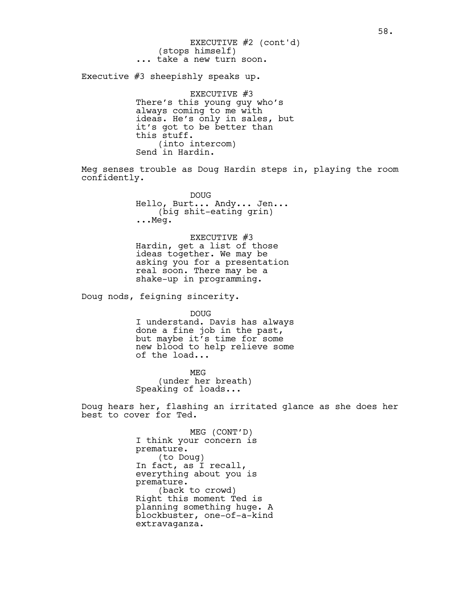(stops himself) ... take a new turn soon. EXECUTIVE #2 (cont'd)

Executive #3 sheepishly speaks up.

EXECUTIVE #3 There's this young guy who's always coming to me with ideas. He's only in sales, but it's got to be better than this stuff. (into intercom) Send in Hardin.

Meg senses trouble as Doug Hardin steps in, playing the room confidently.

> DOUG Hello, Burt... Andy... Jen... (big shit-eating grin) ...Meg.

EXECUTIVE #3 Hardin, get a list of those ideas together. We may be asking you for a presentation real soon. There may be a shake-up in programming.

Doug nods, feigning sincerity.

DOUG I understand. Davis has always done a fine job in the past, but maybe it's time for some new blood to help relieve some of the load...

MEG (under her breath) Speaking of loads...

Doug hears her, flashing an irritated glance as she does her best to cover for Ted.

> MEG (CONT'D) I think your concern is premature. (to Doug) In fact, as I recall, everything about you is premature. (back to crowd) Right this moment Ted is planning something huge. A blockbuster, one-of-a-kind extravaganza.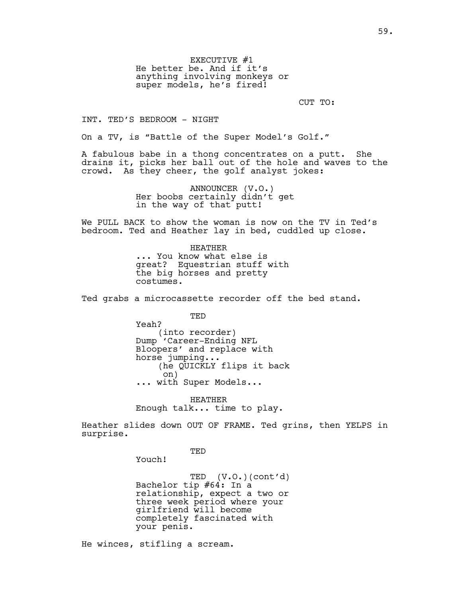EXECUTIVE #1 He better be. And if it's anything involving monkeys or super models, he's fired!

CUT TO:

INT. TED'S BEDROOM - NIGHT

On a TV, is "Battle of the Super Model's Golf."

A fabulous babe in a thong concentrates on a putt. She drains it, picks her ball out of the hole and waves to the crowd. As they cheer, the golf analyst jokes:

> ANNOUNCER (V.O.) Her boobs certainly didn't get in the way of that putt!

We PULL BACK to show the woman is now on the TV in Ted's bedroom. Ted and Heather lay in bed, cuddled up close.

> HEATHER ... You know what else is great? Equestrian stuff with the big horses and pretty costumes.

Ted grabs a microcassette recorder off the bed stand.

TED Yeah? (into recorder) Dump 'Career-Ending NFL Bloopers' and replace with horse jumping... (he QUICKLY flips it back on) ... with Super Models...

HEATHER Enough talk... time to play.

Heather slides down OUT OF FRAME. Ted grins, then YELPS in surprise.

TED

Youch!

TED (V.O.)(cont'd) Bachelor tip #64: In a relationship, expect a two or three week period where your girlfriend will become completely fascinated with your penis.

He winces, stifling a scream.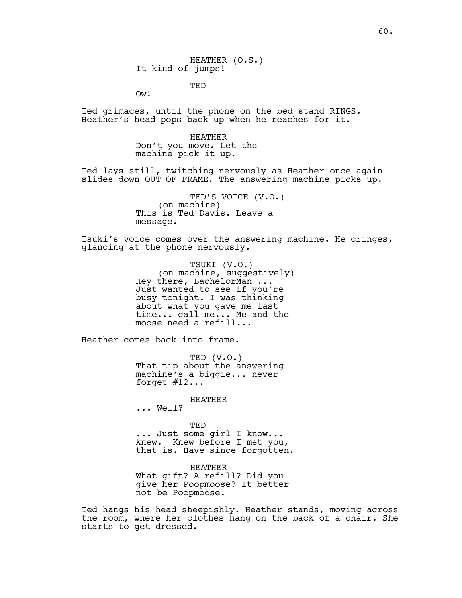TED

Ow!

Ted grimaces, until the phone on the bed stand RINGS. Heather's head pops back up when he reaches for it.

> HEATHER Don't you move. Let the machine pick it up.

Ted lays still, twitching nervously as Heather once again slides down OUT OF FRAME. The answering machine picks up.

> TED'S VOICE (V.O.) (on machine) This is Ted Davis. Leave a message.

Tsuki's voice comes over the answering machine. He cringes, glancing at the phone nervously.

> TSUKI (V.O.) (on machine, suggestively) Hey there, BachelorMan ... Just wanted to see if you're busy tonight. I was thinking about what you gave me last time... call me... Me and the moose need a refill...

Heather comes back into frame.

TED (V.O.) That tip about the answering machine's a biggie... never forget  $#12...$ 

HEATHER

... Well?

TED

... Just some girl I know... knew. Knew before I met you, that is. Have since forgotten.

HEATHER What gift? A refill? Did you give her Poopmoose? It better not be Poopmoose.

Ted hangs his head sheepishly. Heather stands, moving across the room, where her clothes hang on the back of a chair. She starts to get dressed.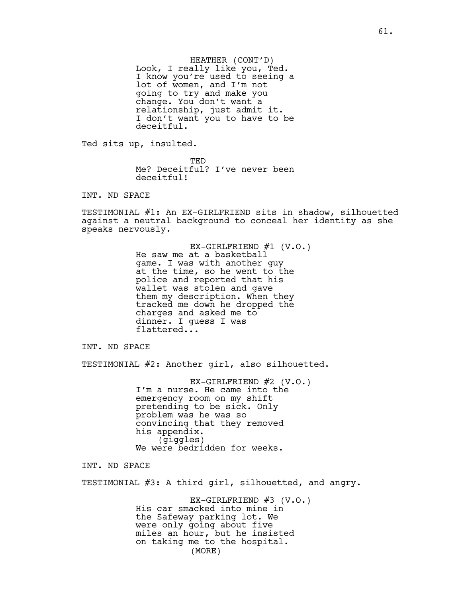HEATHER (CONT'D) Look, I really like you, Ted. I know you're used to seeing a lot of women, and I'm not going to try and make you change. You don't want a relationship, just admit it. I don't want you to have to be deceitful.

Ted sits up, insulted.

TED Me? Deceitful? I've never been deceitful!

INT. ND SPACE

TESTIMONIAL #1: An EX-GIRLFRIEND sits in shadow, silhouetted against a neutral background to conceal her identity as she speaks nervously.

> EX-GIRLFRIEND  $#1$  (V.O.) He saw me at a basketball game. I was with another guy at the time, so he went to the police and reported that his wallet was stolen and gave them my description. When they tracked me down he dropped the charges and asked me to dinner. I guess I was flattered...

INT. ND SPACE

TESTIMONIAL #2: Another girl, also silhouetted.

EX-GIRLFRIEND #2 (V.O.) I'm a nurse. He came into the emergency room on my shift pretending to be sick. Only problem was he was so convincing that they removed his appendix. (giggles) We were bedridden for weeks.

INT. ND SPACE

TESTIMONIAL #3: A third girl, silhouetted, and angry.

EX-GIRLFRIEND #3 (V.O.) His car smacked into mine in the Safeway parking lot. We were only going about five miles an hour, but he insisted on taking me to the hospital. (MORE)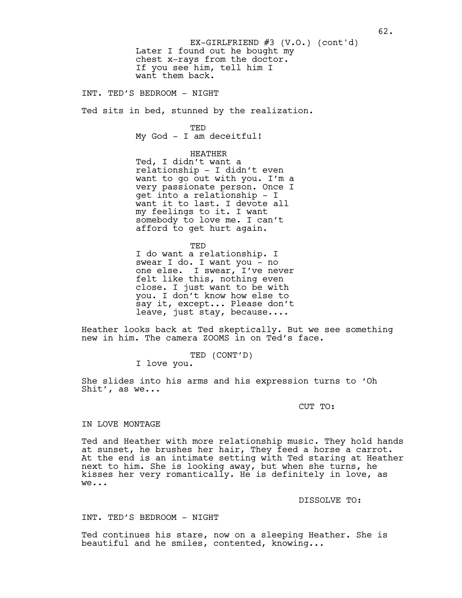Later I found out he bought my chest x-rays from the doctor. If you see him, tell him I want them back. EX-GIRLFRIEND  $#3$  (V.O.) (cont'd)

INT. TED'S BEDROOM - NIGHT

Ted sits in bed, stunned by the realization.

TED My God - I am deceitful!

# HEATHER

Ted, I didn't want a relationship - I didn't even want to go out with you. I'm a very passionate person. Once I get into a relationship - I want it to last. I devote all my feelings to it. I want somebody to love me. I can't afford to get hurt again.

TED

I do want a relationship. I swear I do. I want you - no one else. I swear, I've never felt like this, nothing even close. I just want to be with you. I don't know how else to say it, except... Please don't leave, just stay, because....

Heather looks back at Ted skeptically. But we see something new in him. The camera ZOOMS in on Ted's face.

TED (CONT'D)

I love you.

She slides into his arms and his expression turns to 'Oh Shit', as we...

## CUT TO:

## IN LOVE MONTAGE

Ted and Heather with more relationship music. They hold hands at sunset, he brushes her hair, They feed a horse a carrot. At the end is an intimate setting with Ted staring at Heather next to him. She is looking away, but when she turns, he kisses her very romantically. He is definitely in love, as we...

### DISSOLVE TO:

## INT. TED'S BEDROOM - NIGHT

Ted continues his stare, now on a sleeping Heather. She is beautiful and he smiles, contented, knowing...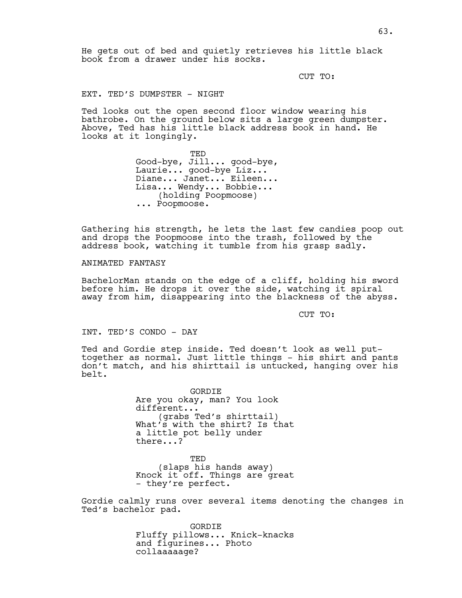He gets out of bed and quietly retrieves his little black book from a drawer under his socks.

CUT TO:

EXT. TED'S DUMPSTER - NIGHT

Ted looks out the open second floor window wearing his bathrobe. On the ground below sits a large green dumpster. Above, Ted has his little black address book in hand. He looks at it longingly.

> TED Good-bye, Jill... good-bye, Laurie... good-bye Liz... Diane... Janet... Eileen... Lisa... Wendy... Bobbie... (holding Poopmoose) ... Poopmoose.

Gathering his strength, he lets the last few candies poop out and drops the Poopmoose into the trash, followed by the address book, watching it tumble from his grasp sadly.

ANIMATED FANTASY

BachelorMan stands on the edge of a cliff, holding his sword before him. He drops it over the side, watching it spiral away from him, disappearing into the blackness of the abyss.

CUT TO:

INT. TED'S CONDO - DAY

Ted and Gordie step inside. Ted doesn't look as well puttogether as normal. Just little things - his shirt and pants don't match, and his shirttail is untucked, hanging over his belt.

> GORDIE Are you okay, man? You look different... (grabs Ted's shirttail) What's with the shirt? Is that a little pot belly under there...?

> TED (slaps his hands away) Knock it off. Things are great - they're perfect.

Gordie calmly runs over several items denoting the changes in Ted's bachelor pad.

> GORDIE Fluffy pillows... Knick-knacks and figurines... Photo collaaaaage?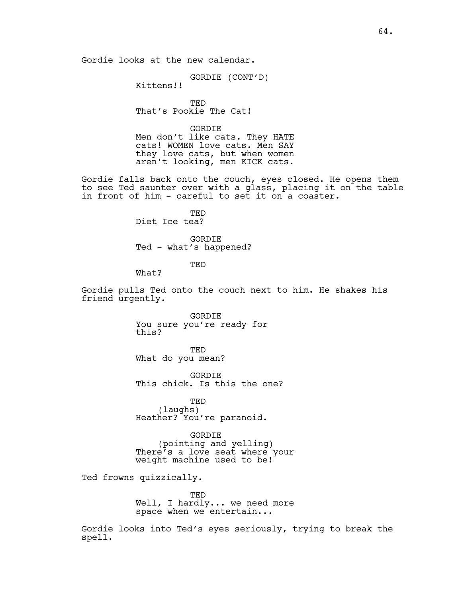Gordie looks at the new calendar.

GORDIE (CONT'D)

Kittens!!

TED That's Pookie The Cat!

GORDIE Men don't like cats. They HATE cats! WOMEN love cats. Men SAY they love cats, but when women aren't looking, men KICK cats.

Gordie falls back onto the couch, eyes closed. He opens them to see Ted saunter over with a glass, placing it on the table in front of him - careful to set it on a coaster.

> TED Diet Ice tea?

GORDIE Ted - what's happened?

TED

What?

Gordie pulls Ted onto the couch next to him. He shakes his friend urgently.

> GORDIE You sure you're ready for this?

TED What do you mean?

GORDIE This chick. Is this the one?

TED (laughs) Heather? You're paranoid.

GORDIE (pointing and yelling) There's a love seat where your weight machine used to be!

Ted frowns quizzically.

TED Well, I hardly... we need more space when we entertain...

Gordie looks into Ted's eyes seriously, trying to break the spell.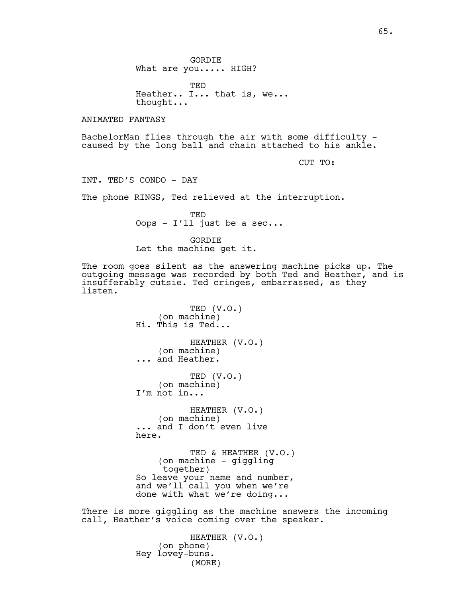GORDIE What are you..... HIGH?

TED Heather.. I... that is, we... thought...

ANIMATED FANTASY

BachelorMan flies through the air with some difficulty caused by the long ball and chain attached to his ankle.

CUT TO:

INT. TED'S CONDO - DAY

The phone RINGS, Ted relieved at the interruption.

TED Oops - I'll just be a sec...

GORDIE Let the machine get it.

The room goes silent as the answering machine picks up. The outgoing message was recorded by both Ted and Heather, and is insufferably cutsie. Ted cringes, embarrassed, as they listen.

> TED (V.O.) (on machine) Hi. This is Ted... HEATHER (V.O.) (on machine) ... and Heather. TED (V.O.) (on machine) I'm not in... HEATHER (V.O.) (on machine) ... and I don't even live here. TED & HEATHER (V.O.) (on machine - giggling together) So leave your name and number, and we'll call you when we're done with what we're doing...

There is more giggling as the machine answers the incoming call, Heather's voice coming over the speaker.

> HEATHER (V.O.) (on phone) Hey lovey-buns. (MORE)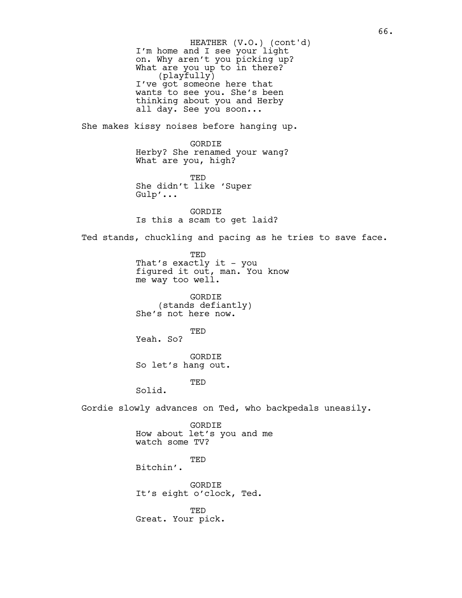I'm home and I see your light on. Why aren't you picking up? What are you up to in there? (playfully) I've got someone here that wants to see you. She's been thinking about you and Herby all day. See you soon... She makes kissy noises before hanging up. GORDIE Herby? She renamed your wang? What are you, high? TED She didn't like 'Super Gulp'... GORDIE Is this a scam to get laid? Ted stands, chuckling and pacing as he tries to save face. TED That's exactly it - you figured it out, man. You know me way too well. GORDIE (stands defiantly) She's not here now. TED Yeah. So? GORDIE So let's hang out. TED Solid. Gordie slowly advances on Ted, who backpedals uneasily. GORDIE How about let's you and me watch some TV? TED Bitchin'. GORDIE It's eight o'clock, Ted. TED HEATHER (V.O.) (cont'd)

Great. Your pick.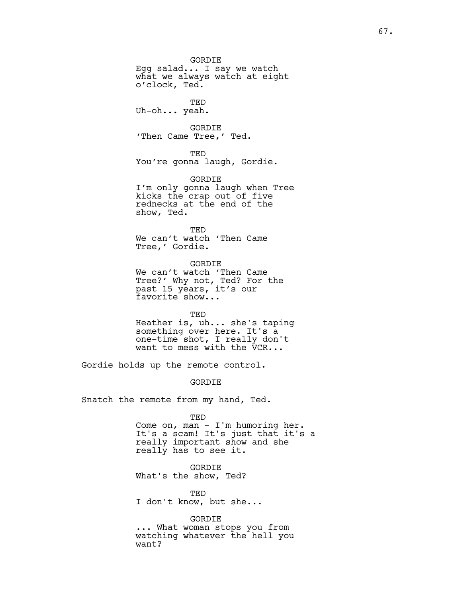GORDIE Egg salad... I say we watch what we always watch at eight o'clock, Ted. TED Uh-oh... yeah. GORDIE 'Then Came Tree,' Ted. TED You're gonna laugh, Gordie. GORDIE I'm only gonna laugh when Tree kicks the crap out of five rednecks at the end of the show, Ted. TED We can't watch 'Then Came Tree,' Gordie. GORDIE We can't watch 'Then Came Tree?' Why not, Ted? For the past 15 years, it's our favorite show... TED

Heather is, uh... she's taping something over here. It's a one-time shot, I really don't want to mess with the VCR...

Gordie holds up the remote control.

## GORDIE

Snatch the remote from my hand, Ted.

TED

Come on, man - I'm humoring her. It's a scam! It's just that it's a really important show and she really has to see it.

GORDIE What's the show, Ted?

TED I don't know, but she...

GORDIE

... What woman stops you from watching whatever the hell you want?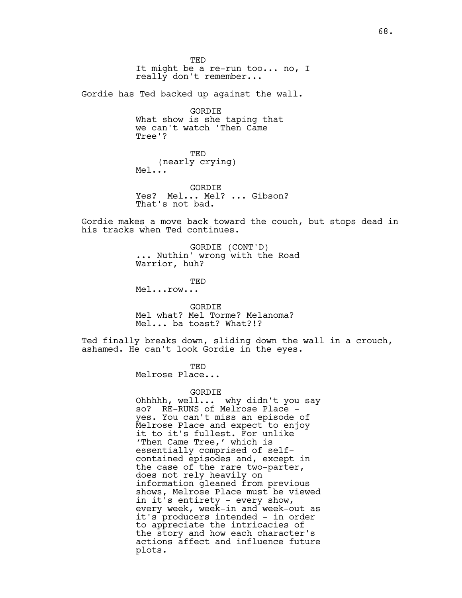TED It might be a re-run too... no, I really don't remember...

Gordie has Ted backed up against the wall.

GORDIE What show is she taping that we can't watch 'Then Came Tree'?

TED (nearly crying) Mel...

GORDIE Yes? Mel... Mel? ... Gibson? That's not bad.

Gordie makes a move back toward the couch, but stops dead in his tracks when Ted continues.

> GORDIE (CONT'D) ... Nuthin' wrong with the Road Warrior, huh?

> > TED

Mel...row...

GORDIE Mel what? Mel Torme? Melanoma? Mel... ba toast? What?!?

Ted finally breaks down, sliding down the wall in a crouch, ashamed. He can't look Gordie in the eyes.

TED

Melrose Place...

GORDIE

Ohhhhh, well... why didn't you say so? RE-RUNS of Melrose Place yes. You can't miss an episode of Melrose Place and expect to enjoy it to it's fullest. For unlike 'Then Came Tree,' which is essentially comprised of selfcontained episodes and, except in the case of the rare two-parter, does not rely heavily on information gleaned from previous shows, Melrose Place must be viewed in it's entirety - every show, every week, week-in and week-out as it's producers intended - in order to appreciate the intricacies of the story and how each character's actions affect and influence future plots.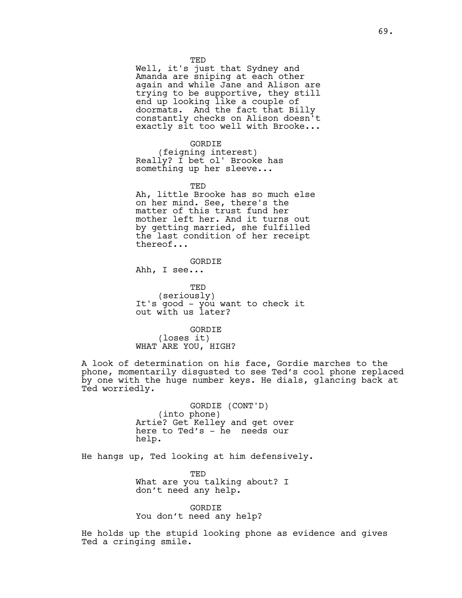TED

Well, it's just that Sydney and Amanda are sniping at each other again and while Jane and Alison are trying to be supportive, they still end up looking like a couple of doormats. And the fact that Billy constantly checks on Alison doesn't exactly sit too well with Brooke...

GORDIE (feigning interest) Really? I bet ol' Brooke has something up her sleeve...

**TED** 

Ah, little Brooke has so much else on her mind. See, there's the matter of this trust fund her mother left her. And it turns out by getting married, she fulfilled the last condition of her receipt thereof...

GORDIE Ahh, I see...

TED (seriously) It's good - you want to check it out with us later?

GORDIE (loses it) WHAT ARE YOU, HIGH?

A look of determination on his face, Gordie marches to the phone, momentarily disgusted to see Ted's cool phone replaced by one with the huge number keys. He dials, glancing back at Ted worriedly.

> GORDIE (CONT'D) (into phone) Artie? Get Kelley and get over here to Ted's - he needs our help.

He hangs up, Ted looking at him defensively.

TED What are you talking about? I don't need any help.

GORDIE You don't need any help?

He holds up the stupid looking phone as evidence and gives Ted a cringing smile.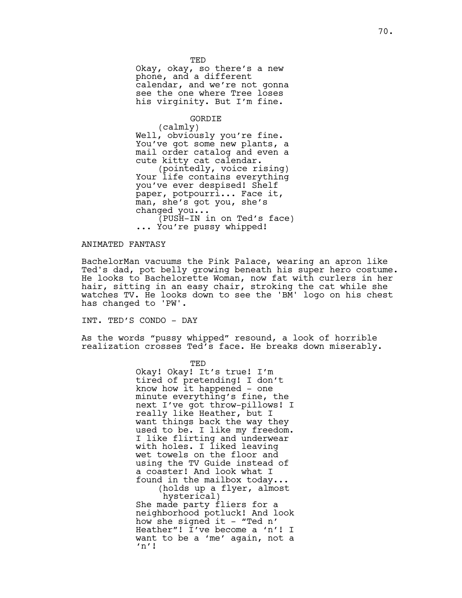TED Okay, okay, so there's a new phone, and a different calendar, and we're not gonna see the one where Tree loses his virginity. But I'm fine.

### GORDIE

(calmly) Well, obviously you're fine. You've got some new plants, a mail order catalog and even a cute kitty cat calendar. (pointedly, voice rising) Your life contains everything you've ever despised! Shelf paper, potpourri... Face it, man, she's got you, she's changed you... (PUSH-IN in on Ted's face) ... You're pussy whipped!

# ANIMATED FANTASY

BachelorMan vacuums the Pink Palace, wearing an apron like Ted's dad, pot belly growing beneath his super hero costume. He looks to Bachelorette Woman, now fat with curlers in her hair, sitting in an easy chair, stroking the cat while she watches TV. He looks down to see the 'BM' logo on his chest has changed to 'PW'.

INT. TED'S CONDO - DAY

As the words "pussy whipped" resound, a look of horrible realization crosses Ted's face. He breaks down miserably.

> TED Okay! Okay! It's true! I'm tired of pretending! I don't know how it happened - one minute everything's fine, the next I've got throw-pillows! I really like Heather, but I want things back the way they used to be. I like my freedom. I like flirting and underwear with holes. I liked leaving wet towels on the floor and using the TV Guide instead of a coaster! And look what I found in the mailbox today... (holds up a flyer, almost hysterical) She made party fliers for a neighborhood potluck! And look how she signed it - "Ted  $n'$ Heather"! I've become a 'n'! I want to be a 'me' again, not a 'n'!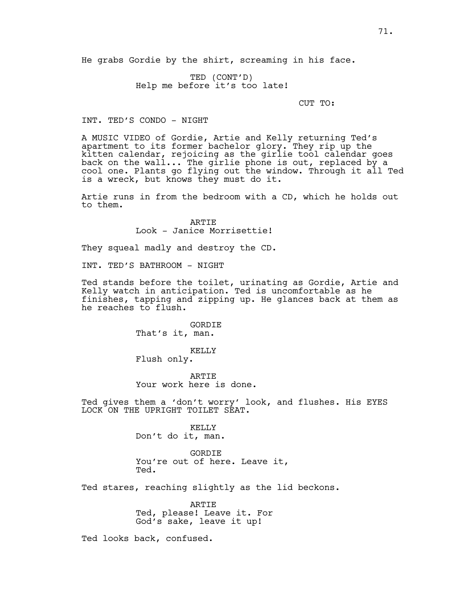He grabs Gordie by the shirt, screaming in his face.

TED (CONT'D) Help me before it's too late!

CUT TO:

INT. TED'S CONDO - NIGHT

A MUSIC VIDEO of Gordie, Artie and Kelly returning Ted's apartment to its former bachelor glory. They rip up the kitten calendar, rejoicing as the girlie tool calendar goes back on the wall... The girlie phone is out, replaced by a cool one. Plants go flying out the window. Through it all Ted is a wreck, but knows they must do it.

Artie runs in from the bedroom with a CD, which he holds out to them.

> **ARTIE** Look - Janice Morrisettie!

They squeal madly and destroy the CD.

INT. TED'S BATHROOM - NIGHT

Ted stands before the toilet, urinating as Gordie, Artie and Kelly watch in anticipation. Ted is uncomfortable as he finishes, tapping and zipping up. He glances back at them as he reaches to flush.

> GORDIE That's it, man. KELLY

Flush only.

ARTIE Your work here is done.

Ted gives them a 'don't worry' look, and flushes. His EYES LOCK ON THE UPRIGHT TOILET SEAT.

> KELLY Don't do it, man.

GORDIE You're out of here. Leave it, Ted.

Ted stares, reaching slightly as the lid beckons.

ARTIE Ted, please! Leave it. For God's sake, leave it up!

Ted looks back, confused.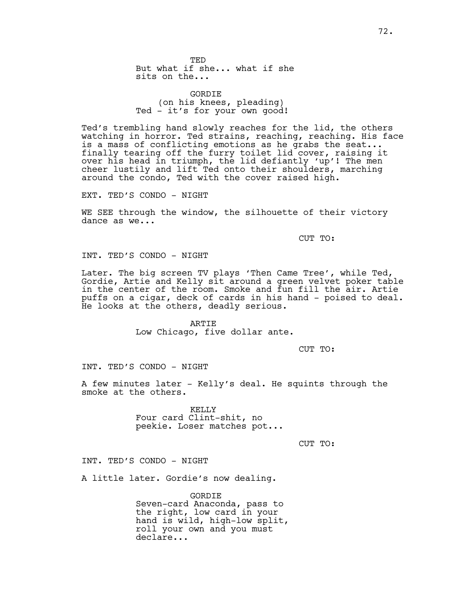TED But what if she... what if she sits on the...

GORDIE (on his knees, pleading) Ted - it's for your own good!

Ted's trembling hand slowly reaches for the lid, the others watching in horror. Ted strains, reaching, reaching. His face is a mass of conflicting emotions as he grabs the seat... finally tearing off the furry toilet lid cover, raising it over his head in triumph, the lid defiantly 'up'! The men cheer lustily and lift Ted onto their shoulders, marching around the condo, Ted with the cover raised high.

EXT. TED'S CONDO - NIGHT

WE SEE through the window, the silhouette of their victory dance as we...

CUT TO:

INT. TED'S CONDO - NIGHT

Later. The big screen TV plays 'Then Came Tree', while Ted, Gordie, Artie and Kelly sit around a green velvet poker table in the center of the room. Smoke and fun fill the air. Artie puffs on a cigar, deck of cards in his hand - poised to deal. He looks at the others, deadly serious.

> ARTIE Low Chicago, five dollar ante.

> > CUT TO:

INT. TED'S CONDO - NIGHT

A few minutes later - Kelly's deal. He squints through the smoke at the others.

> KELLY Four card Clint-shit, no peekie. Loser matches pot...

> > CUT TO:

INT. TED'S CONDO - NIGHT

A little later. Gordie's now dealing.

GORDIE Seven-card Anaconda, pass to the right, low card in your hand is wild, high-low split, roll your own and you must declare...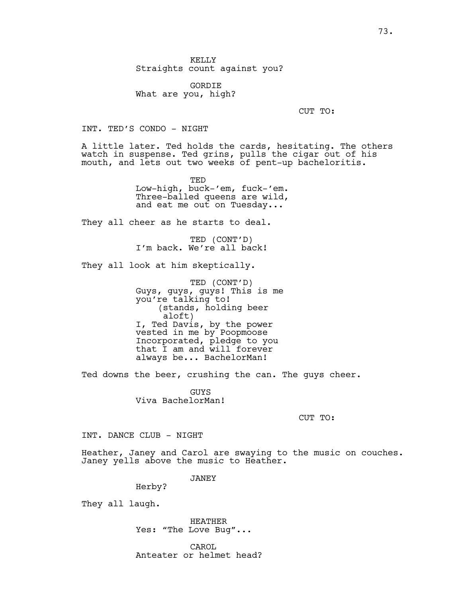KELLY Straights count against you?

GORDIE What are you, high?

CUT TO:

INT. TED'S CONDO - NIGHT

A little later. Ted holds the cards, hesitating. The others watch in suspense. Ted grins, pulls the cigar out of his mouth, and lets out two weeks of pent-up bacheloritis.

> TED Low-high, buck-'em, fuck-'em. Three-balled queens are wild, and eat me out on Tuesday...

They all cheer as he starts to deal.

TED (CONT'D) I'm back. We're all back!

They all look at him skeptically.

TED (CONT'D) Guys, guys, guys! This is me you're talking to! (stands, holding beer aloft) I, Ted Davis, by the power vested in me by Poopmoose Incorporated, pledge to you that I am and will forever always be... BachelorMan!

Ted downs the beer, crushing the can. The guys cheer.

**GUYS** Viva BachelorMan!

CUT TO:

INT. DANCE CLUB - NIGHT

Heather, Janey and Carol are swaying to the music on couches. Janey yells above the music to Heather.

JANEY

Herby?

They all laugh.

HEATHER Yes: "The Love Bug"...

CAROL Anteater or helmet head?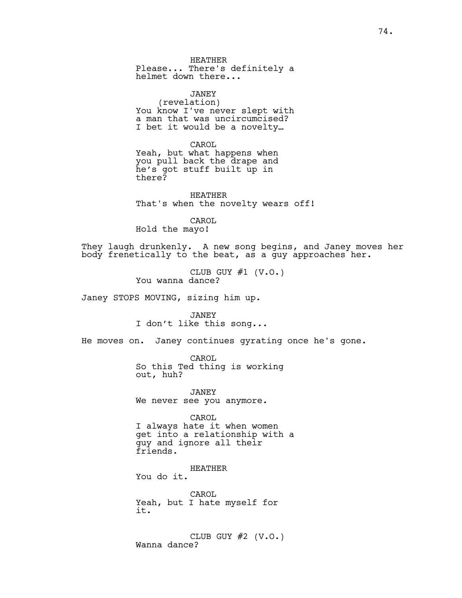HEATHER Please... There's definitely a helmet down there...

JANEY (revelation) You know I've never slept with a man that was uncircumcised? I bet it would be a novelty…

CAROL

Yeah, but what happens when you pull back the drape and he's got stuff built up in there?

HEATHER That's when the novelty wears off!

CAROL Hold the mayo!

They laugh drunkenly. A new song begins, and Janey moves her body frenetically to the beat, as a guy approaches her.

> CLUB GUY  $#1$  (V.O.) You wanna dance?

Janey STOPS MOVING, sizing him up.

JANEY I don't like this song...

He moves on. Janey continues gyrating once he's gone.

CAROL So this Ted thing is working out, huh?

JANEY We never see you anymore.

CAROL I always hate it when women get into a relationship with a guy and ignore all their friends.

HEATHER You do it.

CAROL Yeah, but I hate myself for it.

CLUB GUY  $#2$  (V.O.) Wanna dance?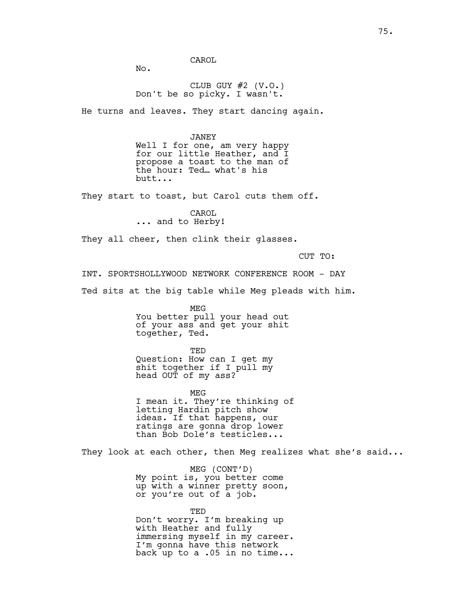CAROL

No.

CLUB GUY  $#2$  (V.O.) Don't be so picky. I wasn't.

He turns and leaves. They start dancing again.

### JANEY

Well I for one, am very happy for our little Heather, and I propose a toast to the man of the hour: Ted… what's his butt...

They start to toast, but Carol cuts them off.

CAROL ... and to Herby!

They all cheer, then clink their glasses.

CUT TO:

INT. SPORTSHOLLYWOOD NETWORK CONFERENCE ROOM - DAY

Ted sits at the big table while Meg pleads with him.

MEG You better pull your head out of your ass and get your shit together, Ted.

TED Question: How can I get my shit together if I pull my head OUT of my ass?

MEG I mean it. They're thinking of letting Hardin pitch show ideas. If that happens, our ratings are gonna drop lower than Bob Dole's testicles...

They look at each other, then Meg realizes what she's said...

MEG (CONT'D) My point is, you better come up with a winner pretty soon, or you're out of a job.

#### TED

Don't worry. I'm breaking up with Heather and fully immersing myself in my career. I'm gonna have this network back up to a .05 in no time...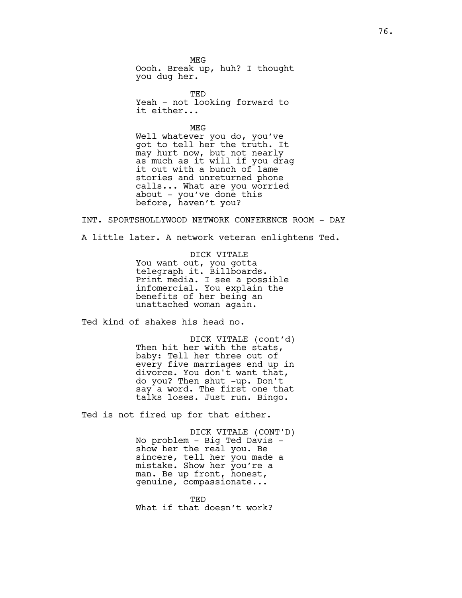MEG Oooh. Break up, huh? I thought you dug her.

TED Yeah - not looking forward to it either...

MEG Well whatever you do, you've got to tell her the truth. It may hurt now, but not nearly as much as it will if you drag it out with a bunch of lame stories and unreturned phone calls... What are you worried about - you've done this before, haven't you?

INT. SPORTSHOLLYWOOD NETWORK CONFERENCE ROOM - DAY

A little later. A network veteran enlightens Ted.

DICK VITALE You want out, you gotta telegraph it. Billboards. Print media. I see a possible infomercial. You explain the benefits of her being an unattached woman again.

Ted kind of shakes his head no.

DICK VITALE (cont'd) Then hit her with the stats, baby: Tell her three out of every five marriages end up in divorce. You don't want that, do you? Then shut -up. Don't say a word. The first one that talks loses. Just run. Bingo.

Ted is not fired up for that either.

DICK VITALE (CONT'D) No problem - Big Ted Davis show her the real you. Be sincere, tell her you made a mistake. Show her you're a man. Be up front, honest, genuine, compassionate...

TED What if that doesn't work?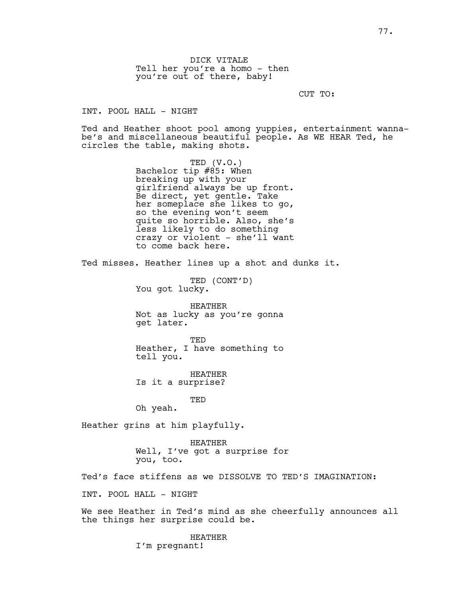DICK VITALE Tell her you're a homo - then you're out of there, baby!

CUT TO:

INT. POOL HALL - NIGHT

Ted and Heather shoot pool among yuppies, entertainment wannabe's and miscellaneous beautiful people. As WE HEAR Ted, he circles the table, making shots.

> TED (V.O.) Bachelor tip #85: When breaking up with your girlfriend always be up front. Be direct, yet gentle. Take her someplace she likes to go, so the evening won't seem quite so horrible. Also, she's less likely to do something crazy or violent - she'll want to come back here.

Ted misses. Heather lines up a shot and dunks it.

TED (CONT'D) You got lucky.

HEATHER Not as lucky as you're gonna get later.

TED Heather, I have something to tell you.

HEATHER Is it a surprise?

TED

Oh yeah.

Heather grins at him playfully.

HEATHER Well, I've got a surprise for you, too.

Ted's face stiffens as we DISSOLVE TO TED'S IMAGINATION:

INT. POOL HALL - NIGHT

We see Heather in Ted's mind as she cheerfully announces all the things her surprise could be.

> HEATHER I'm pregnant!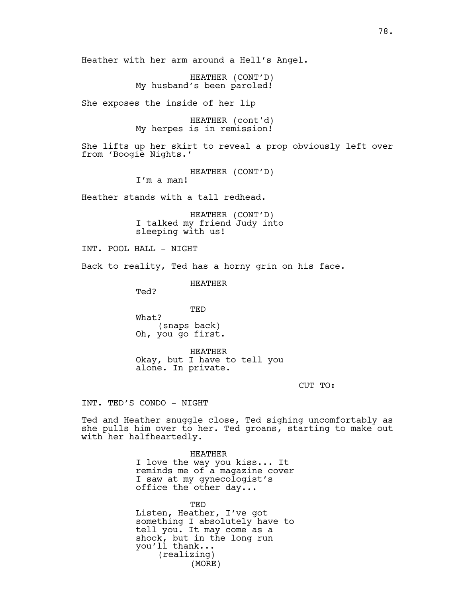HEATHER (CONT'D) My husband's been paroled!

She exposes the inside of her lip

HEATHER (cont'd) My herpes is in remission!

She lifts up her skirt to reveal a prop obviously left over from 'Boogie Nights.'

> HEATHER (CONT'D) I'm a man!

Heather stands with a tall redhead.

HEATHER (CONT'D) I talked my friend Judy into sleeping with us!

INT. POOL HALL - NIGHT

Back to reality, Ted has a horny grin on his face.

HEATHER

Ted?

TED What? (snaps back) Oh, you go first.

HEATHER Okay, but I have to tell you alone. In private.

CUT TO:

INT. TED'S CONDO - NIGHT

Ted and Heather snuggle close, Ted sighing uncomfortably as she pulls him over to her. Ted groans, starting to make out with her halfheartedly.

> HEATHER I love the way you kiss... It reminds me of a magazine cover I saw at my gynecologist's office the other day...

TED Listen, Heather, I've got something I absolutely have to tell you. It may come as a shock, but in the long run you'll thank... (realizing) (MORE)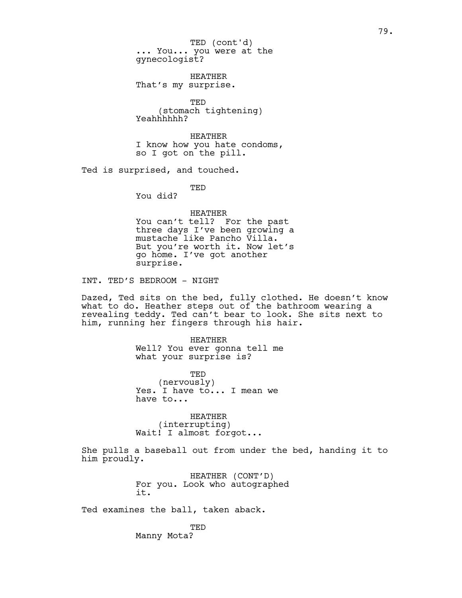... You... you were at the gynecologist? TED (cont'd)

HEATHER That's my surprise.

TED (stomach tightening) Yeahhhhhh?

HEATHER I know how you hate condoms, so I got on the pill.

Ted is surprised, and touched.

TED

You did?

HEATHER You can't tell? For the past three days I've been growing a mustache like Pancho Villa. But you're worth it. Now let's go home. I've got another surprise.

INT. TED'S BEDROOM - NIGHT

Dazed, Ted sits on the bed, fully clothed. He doesn't know what to do. Heather steps out of the bathroom wearing a revealing teddy. Ted can't bear to look. She sits next to him, running her fingers through his hair.

> HEATHER Well? You ever gonna tell me what your surprise is?

> TED (nervously) Yes. I have to... I mean we have to...

HEATHER (interrupting) Wait! I almost forgot...

She pulls a baseball out from under the bed, handing it to him proudly.

> HEATHER (CONT'D) For you. Look who autographed it.

Ted examines the ball, taken aback.

TED Manny Mota?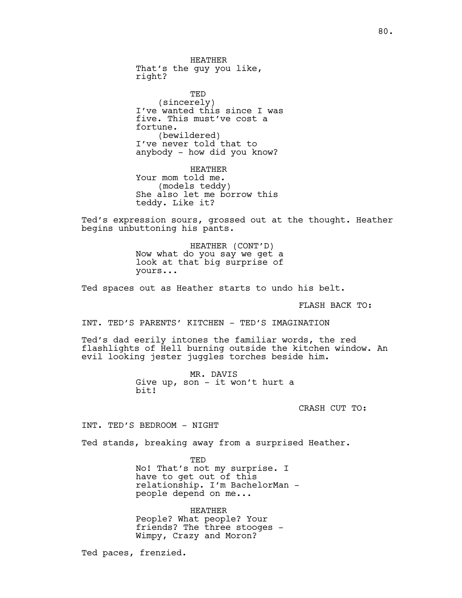HEATHER That's the guy you like, right?

TED (sincerely) I've wanted this since I was five. This must've cost a fortune. (bewildered) I've never told that to anybody - how did you know?

HEATHER Your mom told me. (models teddy) She also let me borrow this teddy. Like it?

Ted's expression sours, grossed out at the thought. Heather begins unbuttoning his pants.

> HEATHER (CONT'D) Now what do you say we get a look at that big surprise of yours...

Ted spaces out as Heather starts to undo his belt.

FLASH BACK TO:

INT. TED'S PARENTS' KITCHEN - TED'S IMAGINATION

Ted's dad eerily intones the familiar words, the red flashlights of Hell burning outside the kitchen window. An evil looking jester juggles torches beside him.

> MR. DAVIS Give up, son - it won't hurt a bit!

> > CRASH CUT TO:

INT. TED'S BEDROOM - NIGHT

Ted stands, breaking away from a surprised Heather.

TED No! That's not my surprise. I have to get out of this relationship. I'm BachelorMan people depend on me...

HEATHER People? What people? Your friends? The three stooges - Wimpy, Crazy and Moron?

Ted paces, frenzied.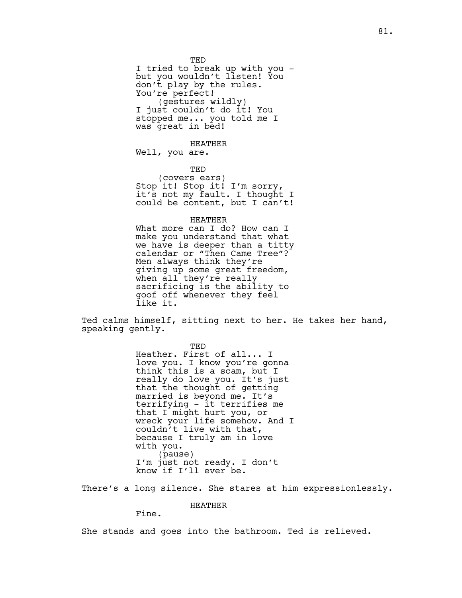TED I tried to break up with you but you wouldn't listen! You don't play by the rules. You're perfect! (gestures wildly) I just couldn't do it! You stopped me... you told me I was great in bed!

HEATHER

Well, you are.

TED

(covers ears) Stop it! Stop it! I'm sorry, it's not my fault. I thought I could be content, but I can't!

HEATHER

What more can I do? How can I make you understand that what we have is deeper than a titty calendar or "Then Came Tree"? Men always think they're giving up some great freedom, when all they're really sacrificing is the ability to goof off whenever they feel like it.

Ted calms himself, sitting next to her. He takes her hand, speaking gently.

> TED Heather. First of all... I love you. I know you're gonna think this is a scam, but I really do love you. It's just that the thought of getting married is beyond me. It's terrifying - it terrifies me that I might hurt you, or wreck your life somehow. And I couldn't live with that, because I truly am in love with you. (pause) I'm just not ready. I don't know if I'll ever be.

There's a long silence. She stares at him expressionlessly.

HEATHER

Fine.

She stands and goes into the bathroom. Ted is relieved.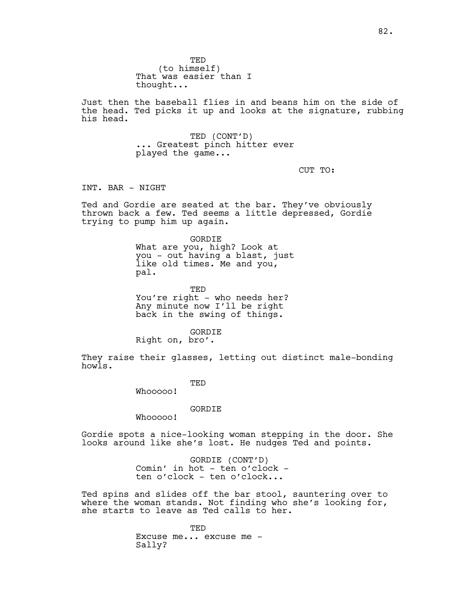TED (to himself) That was easier than I thought...

Just then the baseball flies in and beans him on the side of the head. Ted picks it up and looks at the signature, rubbing his head.

> TED (CONT'D) ... Greatest pinch hitter ever played the game...

> > CUT TO:

INT. BAR - NIGHT

Ted and Gordie are seated at the bar. They've obviously thrown back a few. Ted seems a little depressed, Gordie trying to pump him up again.

> GORDIE What are you, high? Look at you - out having a blast, just like old times. Me and you, pal.

**TED** You're right - who needs her? Any minute now I'll be right back in the swing of things.

GORDIE Right on, bro'.

They raise their glasses, letting out distinct male-bonding howls.

TED

Whooooo!

GORDIE

Whooooo!

Gordie spots a nice-looking woman stepping in the door. She looks around like she's lost. He nudges Ted and points.

> GORDIE (CONT'D) Comin' in hot - ten o'clock ten o'clock - ten o'clock...

Ted spins and slides off the bar stool, sauntering over to where the woman stands. Not finding who she's looking for, she starts to leave as Ted calls to her.

> TED Excuse me... excuse me - Sally?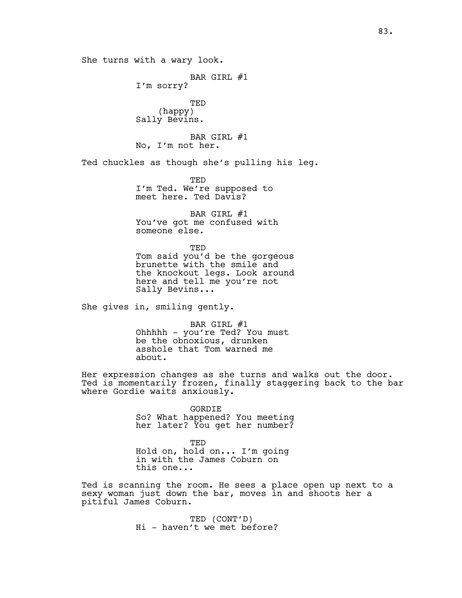She turns with a wary look. BAR GIRL #1 I'm sorry? TED (happy) Sally Bevins. BAR GIRL #1 No, I'm not her. Ted chuckles as though she's pulling his leg. TED I'm Ted. We're supposed to meet here. Ted Davis? BAR GIRL #1 You've got me confused with someone else. TED Tom said you'd be the gorgeous brunette with the smile and the knockout legs. Look around here and tell me you're not Sally Bevins... She gives in, smiling gently. BAR GIRL #1 Ohhhhh - you're Ted? You must be the obnoxious, drunken asshole that Tom warned me about. Her expression changes as she turns and walks out the door. Ted is momentarily frozen, finally staggering back to the bar where Gordie waits anxiously. GORDIE So? What happened? You meeting her later? You get her number? TED Hold on, hold on... I'm going in with the James Coburn on this one...

Ted is scanning the room. He sees a place open up next to a sexy woman just down the bar, moves in and shoots her a pitiful James Coburn.

> TED (CONT'D) Hi - haven't we met before?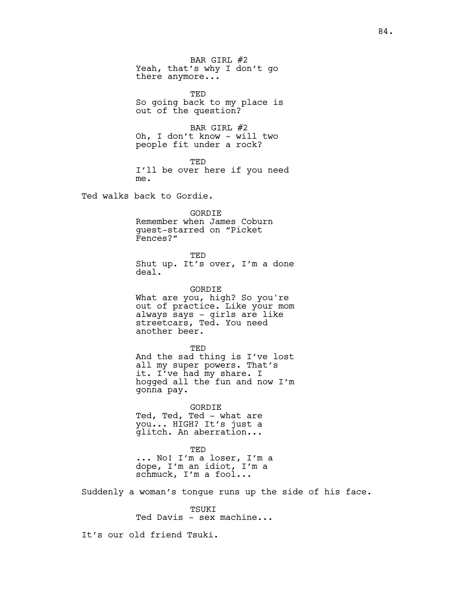BAR GIRL #2 Yeah, that's why I don't go there anymore...

TED So going back to my place is out of the question?

BAR GIRL #2 Oh, I don't know - will two people fit under a rock?

TED I'll be over here if you need me.

Ted walks back to Gordie.

GORDIE Remember when James Coburn guest-starred on "Picket Fences?"

TED Shut up. It's over, I'm a done deal.

GORDIE What are you, high? So you're out of practice. Like your mom always says - girls are like streetcars, Ted. You need another beer.

TED And the sad thing is I've lost all my super powers. That's it. I've had my share. I hogged all the fun and now I'm gonna pay.

GORDIE Ted, Ted, Ted - what are you... HIGH? It's just a glitch. An aberration...

TED ... No! I'm a loser, I'm a dope, I'm an idiot, I'm a schmuck, I'm a fool...

Suddenly a woman's tongue runs up the side of his face.

TSUKI Ted Davis - sex machine...

It's our old friend Tsuki.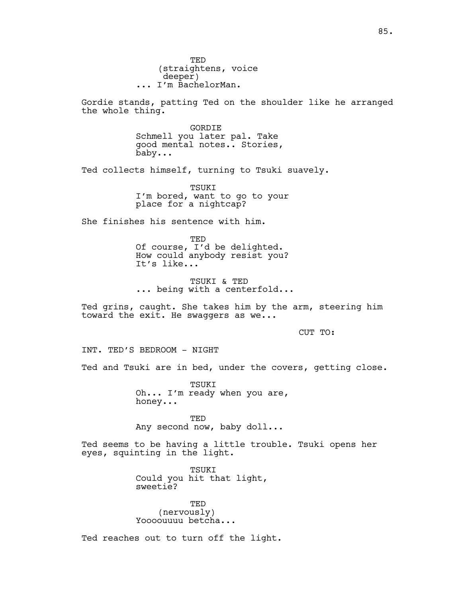TED (straightens, voice deeper) ... I'm BachelorMan.

Gordie stands, patting Ted on the shoulder like he arranged the whole thing.

> GORDIE Schmell you later pal. Take good mental notes.. Stories, baby...

Ted collects himself, turning to Tsuki suavely.

TSUKI I'm bored, want to go to your place for a nightcap?

She finishes his sentence with him.

TED Of course, I'd be delighted. How could anybody resist you? It's like...

TSUKI & TED ... being with a centerfold...

Ted grins, caught. She takes him by the arm, steering him toward the exit. He swaggers as we...

CUT TO:

INT. TED'S BEDROOM - NIGHT

Ted and Tsuki are in bed, under the covers, getting close.

TSUKI Oh... I'm ready when you are, honey...

TED Any second now, baby doll...

Ted seems to be having a little trouble. Tsuki opens her eyes, squinting in the light.

> TSUKI Could you hit that light, sweetie?

TED (nervously) Yoooouuuu betcha...

Ted reaches out to turn off the light.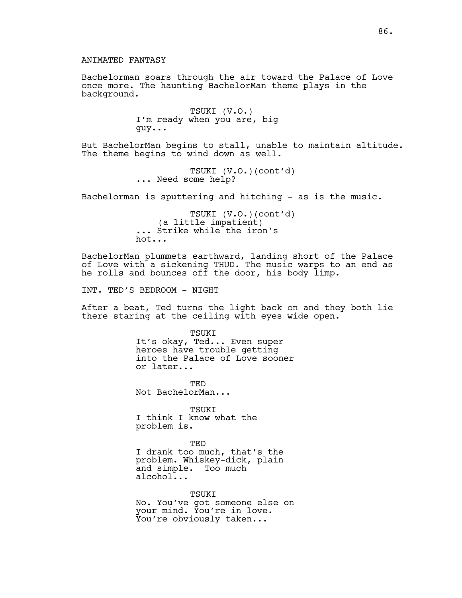Bachelorman soars through the air toward the Palace of Love once more. The haunting BachelorMan theme plays in the background.

> TSUKI (V.O.) I'm ready when you are, big guy...

But BachelorMan begins to stall, unable to maintain altitude. The theme begins to wind down as well.

> TSUKI (V.O.)(cont'd) ... Need some help?

Bachelorman is sputtering and hitching  $-$  as is the music.

TSUKI (V.O.)(cont'd) (a little impatient) ... Strike while the iron's hot...

BachelorMan plummets earthward, landing short of the Palace of Love with a sickening THUD. The music warps to an end as he rolls and bounces off the door, his body limp.

INT. TED'S BEDROOM - NIGHT

After a beat, Ted turns the light back on and they both lie there staring at the ceiling with eyes wide open.

> TSUKI It's okay, Ted... Even super heroes have trouble getting into the Palace of Love sooner or later...

TED Not BachelorMan...

**TSUKT** I think I know what the problem is.

TED I drank too much, that's the problem. Whiskey-dick, plain and simple. Too much alcohol...

TSUKI No. You've got someone else on your mind. You're in love. You're obviously taken...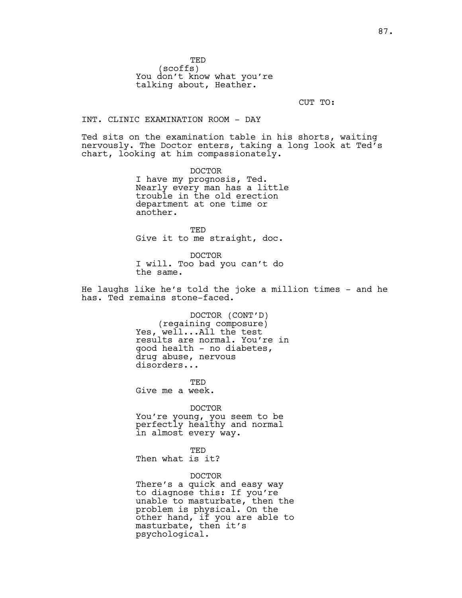TED (scoffs) You don't know what you're talking about, Heather.

CUT TO:

### INT. CLINIC EXAMINATION ROOM - DAY

Ted sits on the examination table in his shorts, waiting nervously. The Doctor enters, taking a long look at Ted's chart, looking at him compassionately.

> DOCTOR I have my prognosis, Ted. Nearly every man has a little trouble in the old erection department at one time or another.

TED Give it to me straight, doc.

DOCTOR I will. Too bad you can't do the same.

He laughs like he's told the joke a million times - and he has. Ted remains stone-faced.

> DOCTOR (CONT'D) (regaining composure) Yes, well...All the test results are normal. You're in good health - no diabetes, drug abuse, nervous disorders...

TED Give me a week.

DOCTOR You're young, you seem to be perfectly healthy and normal in almost every way.

# TED

Then what is it?

#### DOCTOR

There's a quick and easy way to diagnose this: If you're unable to masturbate, then the problem is physical. On the other hand, if you are able to masturbate, then it's psychological.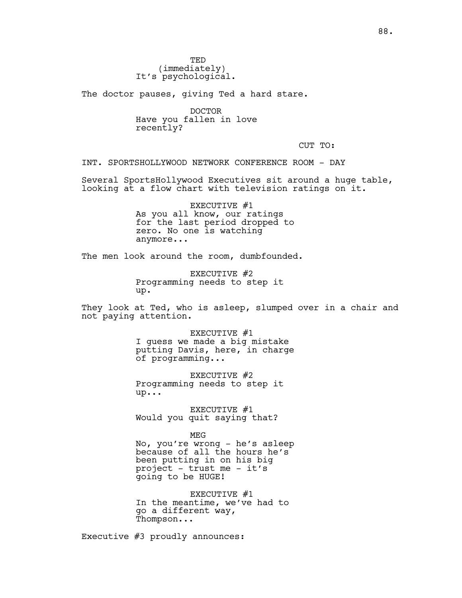The doctor pauses, giving Ted a hard stare.

DOCTOR Have you fallen in love recently?

CUT TO:

INT. SPORTSHOLLYWOOD NETWORK CONFERENCE ROOM - DAY

Several SportsHollywood Executives sit around a huge table, looking at a flow chart with television ratings on it.

> EXECUTIVE #1 As you all know, our ratings for the last period dropped to zero. No one is watching anymore...

The men look around the room, dumbfounded.

EXECUTIVE #2 Programming needs to step it up.

They look at Ted, who is asleep, slumped over in a chair and not paying attention.

> EXECUTIVE #1 I guess we made a big mistake putting Davis, here, in charge of programming...

EXECUTIVE #2 Programming needs to step it up...

EXECUTIVE #1 Would you quit saying that?

MEG No, you're wrong - he's asleep

because of all the hours he's been putting in on his big project - trust me - it's going to be HUGE!

EXECUTIVE #1 In the meantime, we've had to go a different way, Thompson...

Executive #3 proudly announces: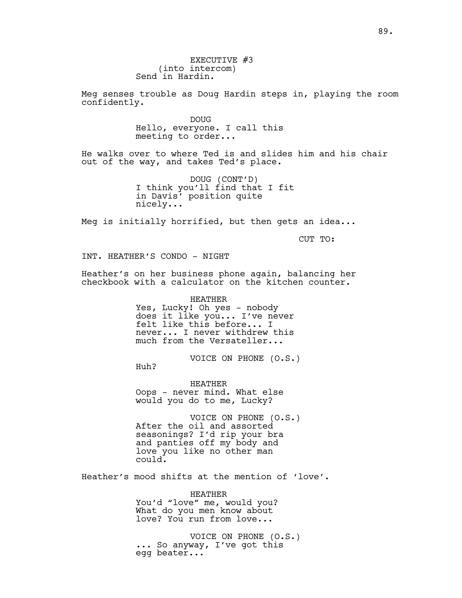Meg senses trouble as Doug Hardin steps in, playing the room confidently.

> DOUG Hello, everyone. I call this meeting to order...

He walks over to where Ted is and slides him and his chair out of the way, and takes Ted's place.

> DOUG (CONT'D) I think you'll find that I fit in Davis' position quite nicely...

Meg is initially horrified, but then gets an idea...

CUT TO:

INT. HEATHER'S CONDO - NIGHT

Heather's on her business phone again, balancing her checkbook with a calculator on the kitchen counter.

> HEATHER Yes, Lucky! Oh yes - nobody does it like you... I've never felt like this before... I never... I never withdrew this much from the Versateller...

> > VOICE ON PHONE (O.S.)

Huh?

HEATHER Oops - never mind. What else would you do to me, Lucky?

VOICE ON PHONE (O.S.) After the oil and assorted seasonings? I'd rip your bra and panties off my body and love you like no other man could.

Heather's mood shifts at the mention of 'love'.

HEATHER You'd "love" me, would you? What do you men know about love? You run from love...

VOICE ON PHONE (O.S.) ... So anyway, I've got this egg beater...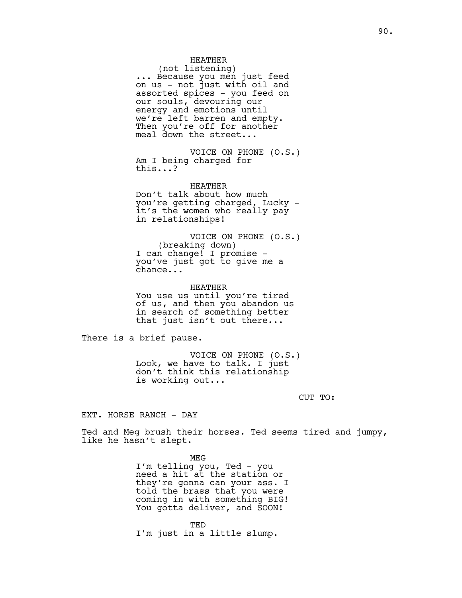### HEATHER

(not listening) ... Because you men just feed on us - not just with oil and assorted spices - you feed on our souls, devouring our energy and emotions until we're left barren and empty. Then you're off for another meal down the street...

VOICE ON PHONE (O.S.) Am I being charged for this...?

HEATHER Don't talk about how much you're getting charged, Lucky it's the women who really pay in relationships!

VOICE ON PHONE (O.S.) (breaking down) I can change! I promise you've just got to give me a chance...

HEATHER You use us until you're tired of us, and then you abandon us in search of something better that just isn't out there...

There is a brief pause.

VOICE ON PHONE (O.S.) Look, we have to talk. I just don't think this relationship is working out...

CUT TO:

EXT. HORSE RANCH - DAY

Ted and Meg brush their horses. Ted seems tired and jumpy, like he hasn't slept.

> MEG I'm telling you, Ted - you need a hit at the station or they're gonna can your ass. I told the brass that you were coming in with something BIG! You gotta deliver, and SOON!

**TED** I'm just in a little slump.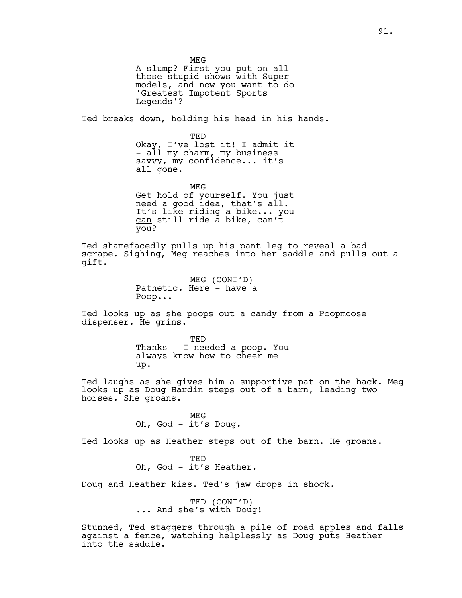MEG A slump? First you put on all those stupid shows with Super models, and now you want to do 'Greatest Impotent Sports Legends'? Ted breaks down, holding his head in his hands. TED Okay, I've lost it! I admit it - all my charm, my business savvy, my confidence... it's all gone. MEG Get hold of yourself. You just need a good  ${\rm id}$ ea, that's a ${\rm il.}$ It's like riding a bike... you can still ride a bike, can't you? Ted shamefacedly pulls up his pant leg to reveal a bad scrape. Sighing, Meg reaches into her saddle and pulls out a gift. MEG (CONT'D) Pathetic. Here - have a Poop...

Ted looks up as she poops out a candy from a Poopmoose dispenser. He grins.

> TED Thanks - I needed a poop. You always know how to cheer me up.

Ted laughs as she gives him a supportive pat on the back. Meg looks up as Doug Hardin steps out of a barn, leading two horses. She groans.

> MEG Oh, God - it's Doug.

Ted looks up as Heather steps out of the barn. He groans.

TED Oh, God - it's Heather.

Doug and Heather kiss. Ted's jaw drops in shock.

TED (CONT'D) ... And she's with Doug!

Stunned, Ted staggers through a pile of road apples and falls against a fence, watching helplessly as Doug puts Heather into the saddle.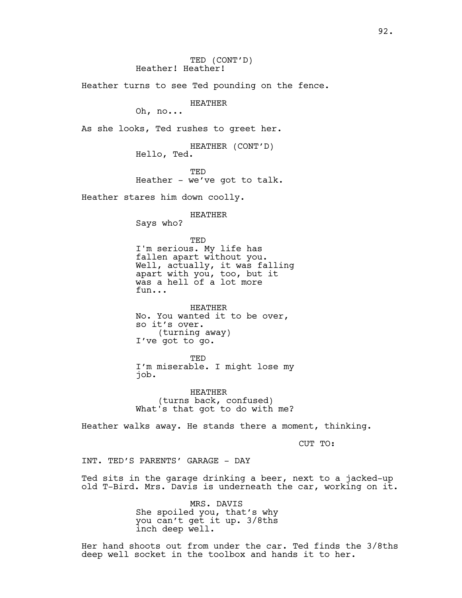TED (CONT'D) Heather! Heather! Heather turns to see Ted pounding on the fence. HEATHER Oh, no... As she looks, Ted rushes to greet her. HEATHER (CONT'D) Hello, Ted. TED Heather - we've got to talk. Heather stares him down coolly. HEATHER Says who? TED I'm serious. My life has fallen apart without you. Well, actually, it was falling apart with you, too, but it was a hell of a lot more fun... HEATHER No. You wanted it to be over, so it's over. (turning away) I've got to go. TED I'm miserable. I might lose my job. HEATHER (turns back, confused) What's that got to do with me? Heather walks away. He stands there a moment, thinking. CUT TO: INT. TED'S PARENTS' GARAGE - DAY Ted sits in the garage drinking a beer, next to a jacked-up

> MRS. DAVIS She spoiled you, that's why you can't get it up. 3/8ths inch deep well.

Her hand shoots out from under the car. Ted finds the 3/8ths deep well socket in the toolbox and hands it to her.

old T-Bird. Mrs. Davis is underneath the car, working on it.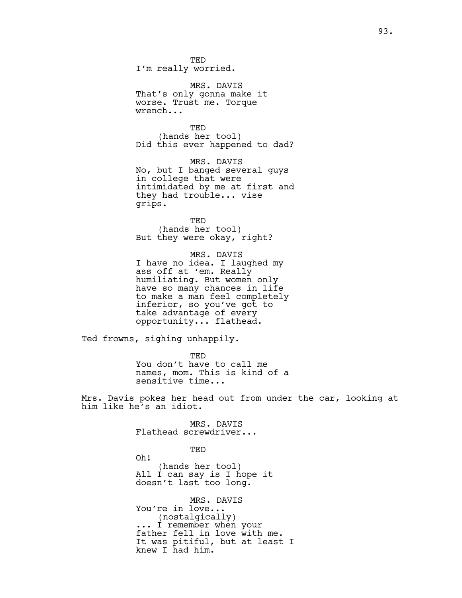TED I'm really worried.

MRS. DAVIS That's only gonna make it worse. Trust me. Torque wrench...

TED (hands her tool) Did this ever happened to dad?

MRS. DAVIS No, but I banged several guys in college that were intimidated by me at first and they had trouble... vise grips.

TED (hands her tool) But they were okay, right?

MRS. DAVIS I have no idea. I laughed my ass off at 'em. Really humiliating. But women only have so many chances in life to make a man feel completely inferior, so you've got to take advantage of every opportunity... flathead.

Ted frowns, sighing unhappily.

TED You don't have to call me names, mom. This is kind of a sensitive time...

Mrs. Davis pokes her head out from under the car, looking at him like he's an idiot.

> MRS. DAVIS Flathead screwdriver...

> > TED

Oh! (hands her tool) All I can say is I hope it doesn't last too long.

MRS. DAVIS You're in love... (nostalgically) ... I remember when your father fell in love with me. It was pitiful, but at least I knew I had him.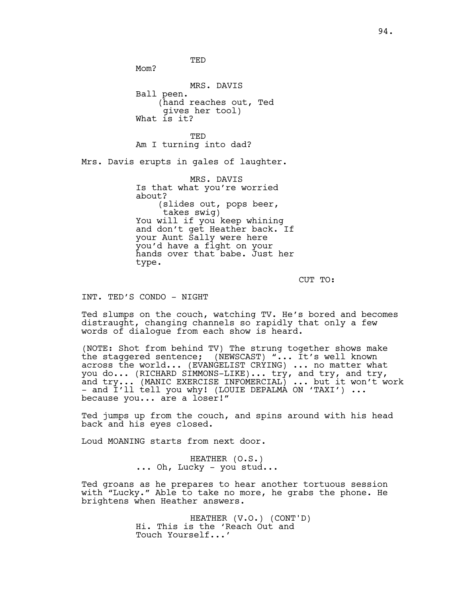TED

M<sub>O</sub>m?

MRS. DAVIS Ball peen. (hand reaches out, Ted gives her tool) What is it?

TED Am I turning into dad?

Mrs. Davis erupts in gales of laughter.

MRS. DAVIS Is that what you're worried about? (slides out, pops beer, takes swig) You will if you keep whining and don't get Heather back. If your Aunt Sally were here you'd have a fight on your hands over that babe. Just her type.

CUT TO:

INT. TED'S CONDO - NIGHT

Ted slumps on the couch, watching TV. He's bored and becomes distraught, changing channels so rapidly that only a few words of dialogue from each show is heard.

(NOTE: Shot from behind TV) The strung together shows make the staggered sentence; (NEWSCAST) "... It's well known across the world... (EVANGELIST CRYING) ... no matter what you do... (RICHARD SIMMONS-LIKE)... try, and try, and try, and try... (MANIC EXERCISE INFOMERCIAL) ... but it won't work - and I'll tell you why! (LOUIE DEPALMA ON 'TAXI') ... because you... are a loser!"

Ted jumps up from the couch, and spins around with his head back and his eyes closed.

Loud MOANING starts from next door.

HEATHER (O.S.) ... Oh, Lucky - you stud...

Ted groans as he prepares to hear another tortuous session with "Lucky." Able to take no more, he grabs the phone. He brightens when Heather answers.

> HEATHER (V.O.) (CONT'D) Hi. This is the 'Reach Out and Touch Yourself...'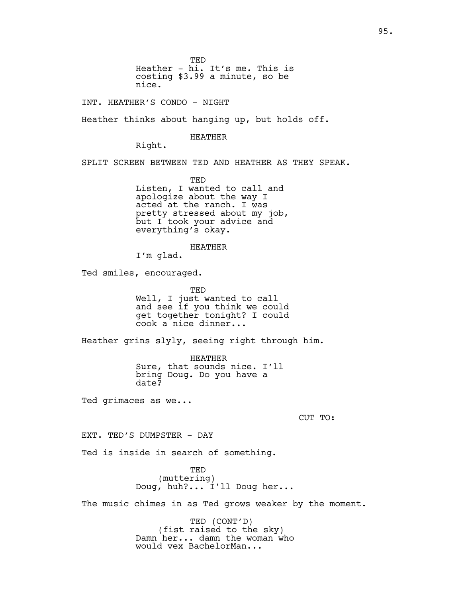TED Heather - hi. It's me. This is costing \$3.99 a minute, so be nice.

INT. HEATHER'S CONDO - NIGHT

Heather thinks about hanging up, but holds off.

HEATHER

Right.

SPLIT SCREEN BETWEEN TED AND HEATHER AS THEY SPEAK.

TED Listen, I wanted to call and apologize about the way I acted at the ranch. I was pretty stressed about my job, but I took your advice and everything's okay.

HEATHER

I'm glad.

Ted smiles, encouraged.

TED Well, I just wanted to call and see if you think we could get together tonight? I could cook a nice dinner...

Heather grins slyly, seeing right through him.

HEATHER Sure, that sounds nice. I'll bring Doug. Do you have a date?

Ted grimaces as we...

CUT TO:

EXT. TED'S DUMPSTER - DAY

Ted is inside in search of something.

TED (muttering) Doug, huh?... I'll Doug her...

The music chimes in as Ted grows weaker by the moment.

TED (CONT'D) (fist raised to the sky) Damn her... damn the woman who would vex BachelorMan...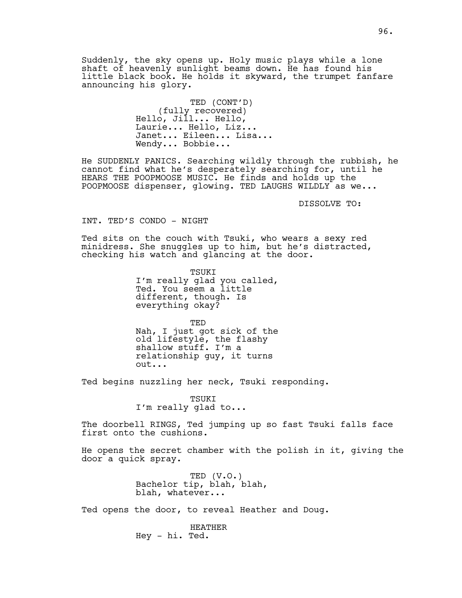Suddenly, the sky opens up. Holy music plays while a lone shaft of heavenly sunlight beams down. He has found his little black book. He holds it skyward, the trumpet fanfare announcing his glory.

> TED (CONT'D) (fully recovered) Hello, Jill... Hello, Laurie... Hello, Liz... Janet... Eileen... Lisa... Wendy... Bobbie...

He SUDDENLY PANICS. Searching wildly through the rubbish, he cannot find what he's desperately searching for, until he HEARS THE POOPMOOSE MUSIC. He finds and holds up the POOPMOOSE dispenser, glowing. TED LAUGHS WILDLY as we...

DISSOLVE TO:

INT. TED'S CONDO - NIGHT

Ted sits on the couch with Tsuki, who wears a sexy red minidress. She snuggles up to him, but he's distracted, checking his watch and glancing at the door.

> TSUKI I'm really glad you called, Ted. You seem a little different, though. Is everything okay?

> TED Nah, I just got sick of the old lifestyle, the flashy shallow stuff. I'm a relationship guy, it turns out...

Ted begins nuzzling her neck, Tsuki responding.

TSUKI I'm really glad to...

The doorbell RINGS, Ted jumping up so fast Tsuki falls face first onto the cushions.

He opens the secret chamber with the polish in it, giving the door a quick spray.

> TED (V.O.) Bachelor tip, blah, blah, blah, whatever...

Ted opens the door, to reveal Heather and Doug.

HEATHER Hey - hi. Ted.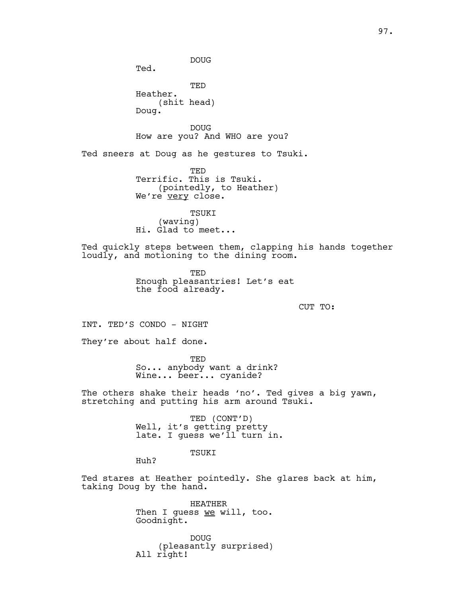DOUG Ted. TED Heather. (shit head) Doug. DOUG How are you? And WHO are you? Ted sneers at Doug as he gestures to Tsuki. TED Terrific. This is Tsuki. (pointedly, to Heather) We're very close. TSUKI (waving) Hi. Glad to meet... Ted quickly steps between them, clapping his hands together loudly, and motioning to the dining room. TED Enough pleasantries! Let's eat the food already. CUT TO: INT. TED'S CONDO - NIGHT They're about half done. TED So... anybody want a drink? Wine... beer... cyanide? The others shake their heads 'no'. Ted gives a big yawn, stretching and putting his arm around Tsuki. TED (CONT'D) Well, it's getting pretty late. I guess we'll turn in. TSUKI Huh? Ted stares at Heather pointedly. She glares back at him, taking Doug by the hand. HEATHER Then I quess we will, too. Goodnight. DOUG

(pleasantly surprised) All right!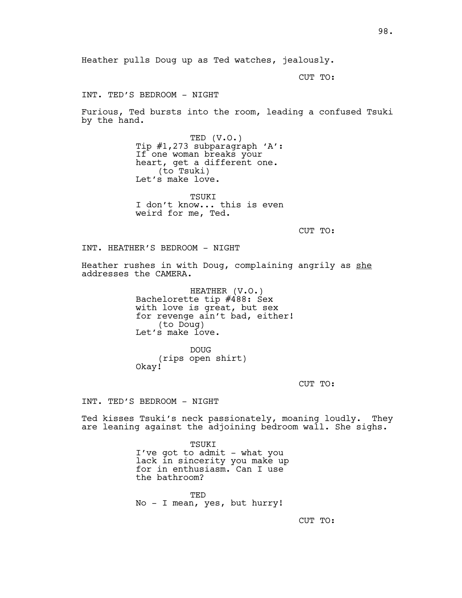CUT TO:

INT. TED'S BEDROOM - NIGHT

Furious, Ted bursts into the room, leading a confused Tsuki by the hand.

> TED (V.O.) Tip #1,273 subparagraph 'A': If one woman breaks your heart, get a different one. (to Tsuki) Let's make love.

> TSUKI I don't know... this is even weird for me, Ted.

> > CUT TO:

INT. HEATHER'S BEDROOM - NIGHT

Heather rushes in with Doug, complaining angrily as she addresses the CAMERA.

> HEATHER (V.O.) Bachelorette tip #488: Sex with love is great, but sex for revenge ain't bad, either! (to Doug) Let's make love.

DOUG (rips open shirt) Okay!

CUT TO:

INT. TED'S BEDROOM - NIGHT

Ted kisses Tsuki's neck passionately, moaning loudly. They are leaning against the adjoining bedroom wall. She sighs.

> TSUKI I've got to admit - what you lack in sincerity you make up for in enthusiasm. Can I use the bathroom?

TED No - I mean, yes, but hurry!

CUT TO: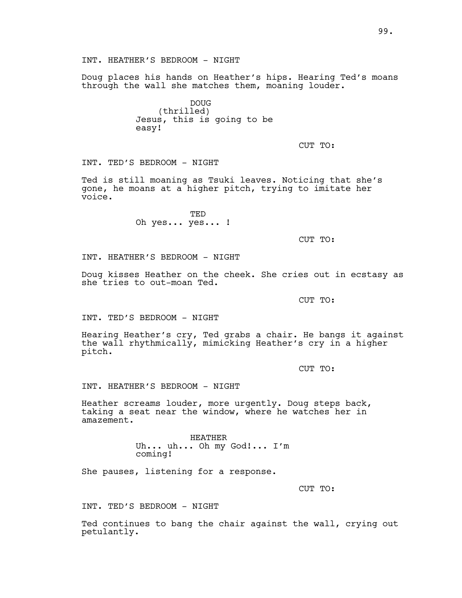INT. HEATHER'S BEDROOM - NIGHT

Doug places his hands on Heather's hips. Hearing Ted's moans through the wall she matches them, moaning louder.

> DOUG (thrilled) Jesus, this is going to be easy!

> > CUT TO:

INT. TED'S BEDROOM - NIGHT

Ted is still moaning as Tsuki leaves. Noticing that she's gone, he moans at a higher pitch, trying to imitate her voice.

> TED Oh yes... yes... !

> > CUT TO:

INT. HEATHER'S BEDROOM - NIGHT

Doug kisses Heather on the cheek. She cries out in ecstasy as she tries to out-moan Ted.

CUT TO:

INT. TED'S BEDROOM - NIGHT

Hearing Heather's cry, Ted grabs a chair. He bangs it against the wall rhythmically, mimicking Heather's cry in a higher pitch.

CUT TO:

INT. HEATHER'S BEDROOM - NIGHT

Heather screams louder, more urgently. Doug steps back, taking a seat near the window, where he watches her in amazement.

> HEATHER Uh... uh... Oh my God!... I'm coming!

She pauses, listening for a response.

CUT TO:

INT. TED'S BEDROOM - NIGHT

Ted continues to bang the chair against the wall, crying out petulantly.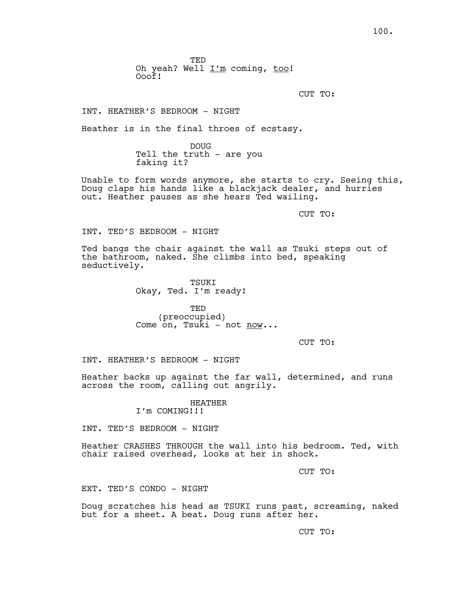TED Oh yeah? Well  $I'm$  coming, too! Ooof!

CUT TO:

INT. HEATHER'S BEDROOM - NIGHT

Heather is in the final throes of ecstasy.

DOUG Tell the truth - are you faking it?

Unable to form words anymore, she starts to cry. Seeing this, Doug claps his hands like a blackjack dealer, and hurries out. Heather pauses as she hears Ted wailing.

CUT TO:

INT. TED'S BEDROOM - NIGHT

Ted bangs the chair against the wall as Tsuki steps out of the bathroom, naked. She climbs into bed, speaking seductively.

> TSUKI Okay, Ted. I'm ready!

TED (preoccupied) Come on, Tsuki - not now...

CUT TO:

INT. HEATHER'S BEDROOM - NIGHT

Heather backs up against the far wall, determined, and runs across the room, calling out angrily.

> HEATHER I'm COMING!!!

INT. TED'S BEDROOM - NIGHT

Heather CRASHES THROUGH the wall into his bedroom. Ted, with chair raised overhead, looks at her in shock.

CUT TO:

EXT. TED'S CONDO - NIGHT

Doug scratches his head as TSUKI runs past, screaming, naked but for a sheet. A beat. Doug runs after her.

CUT TO: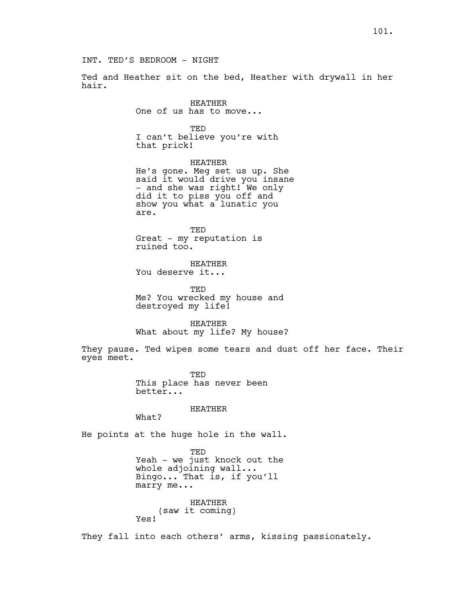101.

INT. TED'S BEDROOM - NIGHT

Ted and Heather sit on the bed, Heather with drywall in her hair.

> HEATHER One of us has to move...

TED I can't believe you're with that prick!

HEATHER He's gone. Meg set us up. She said it would drive you insane - and she was right! We only did it to piss you off and show you what a lunatic you are.

TED Great - my reputation is ruined too.

HEATHER You deserve it...

TED Me? You wrecked my house and destroyed my life!

HEATHER What about my life? My house?

They pause. Ted wipes some tears and dust off her face. Their eyes meet.

> TED This place has never been better...

> > HEATHER

What?

He points at the huge hole in the wall.

TED Yeah - we just knock out the whole adjoining wall... Bingo... That is, if you'll marry me...

HEATHER (saw it coming) Yes!

They fall into each others' arms, kissing passionately.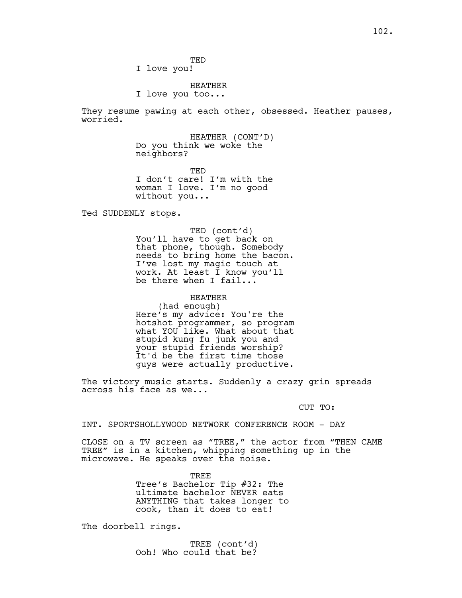TED

I love you!

HEATHER

I love you too...

They resume pawing at each other, obsessed. Heather pauses, worried.

> HEATHER (CONT'D) Do you think we woke the neighbors?

> TED I don't care! I'm with the woman I love. I'm no good without you...

Ted SUDDENLY stops.

TED (cont'd) You'll have to get back on that phone, though. Somebody needs to bring home the bacon. I've lost my magic touch at work. At least I know you'll be there when I fail...

HEATHER (had enough) Here's my advice: You're the hotshot programmer, so program what YOU like. What about that stupid kung fu junk you and your stupid friends worship? It'd be the first time those guys were actually productive.

The victory music starts. Suddenly a crazy grin spreads across his face as we...

CUT TO:

INT. SPORTSHOLLYWOOD NETWORK CONFERENCE ROOM - DAY

CLOSE on a TV screen as "TREE," the actor from "THEN CAME TREE" is in a kitchen, whipping something up in the microwave. He speaks over the noise.

> TREE Tree's Bachelor Tip #32: The ultimate bachelor NEVER eats ANYTHING that takes longer to cook, than it does to eat!

The doorbell rings.

TREE (cont'd) Ooh! Who could that be?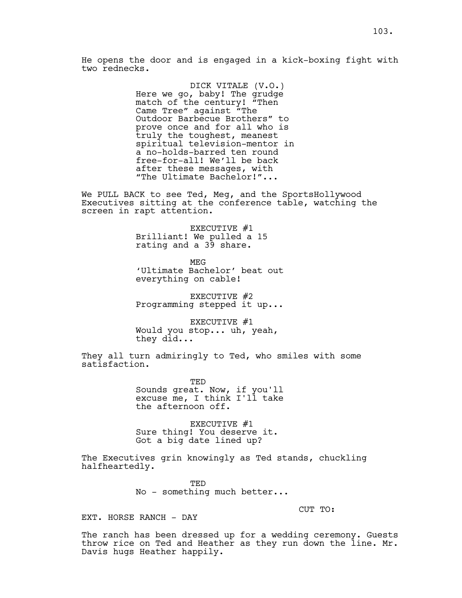DICK VITALE (V.O.) Here we go, baby! The grudge match of the century! "Then Came Tree" against "The Outdoor Barbecue Brothers" to prove once and for all who is truly the toughest, meanest spiritual television-mentor in a no-holds-barred ten round free-for-all! We'll be back after these messages, with "The Ultimate Bachelor!"...

We PULL BACK to see Ted, Meg, and the SportsHollywood Executives sitting at the conference table, watching the screen in rapt attention.

> EXECUTIVE #1 Brilliant! We pulled a 15 rating and a 39 share.

MEG 'Ultimate Bachelor' beat out everything on cable!

EXECUTIVE #2 Programming stepped it up...

EXECUTIVE #1 Would you stop... uh, yeah, they did...

They all turn admiringly to Ted, who smiles with some satisfaction.

> TED Sounds great. Now, if you'll excuse me, I think I'll take the afternoon off.

EXECUTIVE #1 Sure thing! You deserve it. Got a big date lined up?

The Executives grin knowingly as Ted stands, chuckling halfheartedly.

> TED No - something much better...

> > CUT TO:

EXT. HORSE RANCH - DAY

The ranch has been dressed up for a wedding ceremony. Guests throw rice on Ted and Heather as they run down the line. Mr. Davis hugs Heather happily.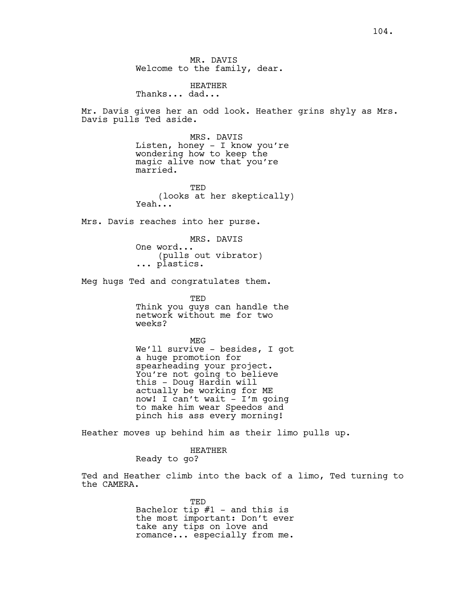HEATHER Thanks... dad...

Mr. Davis gives her an odd look. Heather grins shyly as Mrs. Davis pulls Ted aside.

> MRS. DAVIS Listen, honey - I know you're wondering how to keep the magic alive now that you're married.

TED (looks at her skeptically) Yeah...

Mrs. Davis reaches into her purse.

MRS. DAVIS One word... (pulls out vibrator) ... plastics.

Meg hugs Ted and congratulates them.

TED Think you guys can handle the network without me for two weeks?

MEG We'll survive - besides, I got a huge promotion for spearheading your project. You're not going to believe this - Doug Hardin will actually be working for ME now! I can't wait - I'm going to make him wear Speedos and pinch his ass every morning!

Heather moves up behind him as their limo pulls up.

HEATHER Ready to go?

Ted and Heather climb into the back of a limo, Ted turning to the CAMERA.

> TED Bachelor tip  $#1$  - and this is the most important: Don't ever take any tips on love and romance... especially from me.